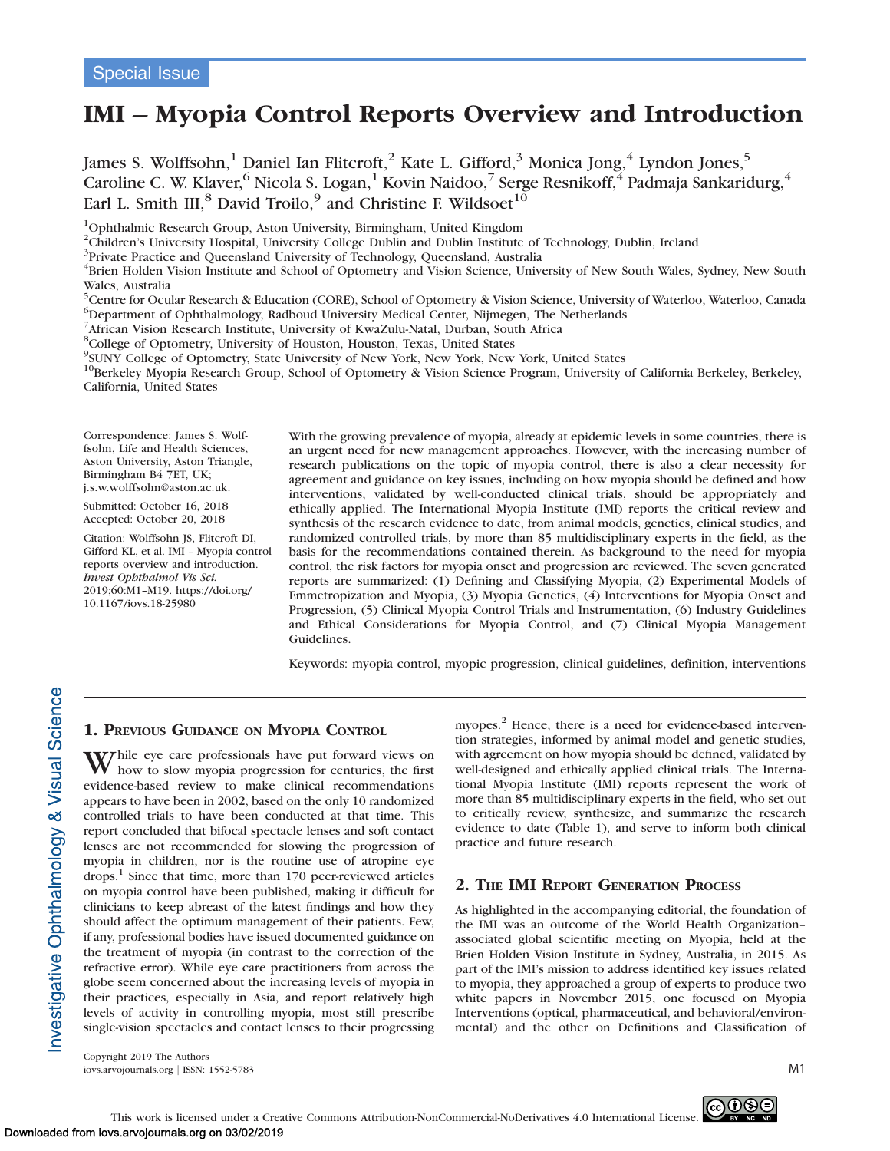# Special Issue

# IMI – Myopia Control Reports Overview and Introduction

James S. Wolffsohn,<sup>1</sup> Daniel Ian Flitcroft,<sup>2</sup> Kate L. Gifford,<sup>3</sup> Monica Jong,<sup>4</sup> Lyndon Jones,<sup>5</sup> Caroline C. W. Klaver, $^6$  Nicola S. Logan, $^1$  Kovin Naidoo, $^7$  Serge Resnikoff, $^4$  Padmaja Sankaridurg, $^4$ Earl L. Smith III, $^8$  David Troilo, $^9$  and Christine F. Wildsoet $^{10}$ 

<sup>1</sup>Ophthalmic Research Group, Aston University, Birmingham, United Kingdom

<sup>2</sup>Children's University Hospital, University College Dublin and Dublin Institute of Technology, Dublin, Ireland

<sup>3</sup>Private Practice and Queensland University of Technology, Queensland, Australia

<sup>4</sup>Brien Holden Vision Institute and School of Optometry and Vision Science, University of New South Wales, Sydney, New South Wales, Australia

<sup>5</sup>Centre for Ocular Research & Education (CORE), School of Optometry & Vision Science, University of Waterloo, Waterloo, Canada 6 Department of Ophthalmology, Radboud University Medical Center, Nijmegen, The Netherlands

7 African Vision Research Institute, University of KwaZulu-Natal, Durban, South Africa

8 College of Optometry, University of Houston, Houston, Texas, United States

9 SUNY College of Optometry, State University of New York, New York, New York, United States

<sup>10</sup>Berkeley Myopia Research Group, School of Optometry & Vision Science Program, University of California Berkeley, Berkeley, California, United States

Correspondence: James S. Wolffsohn, Life and Health Sciences, Aston University, Aston Triangle, Birmingham B4 7ET, UK; j.s.w.wolffsohn@aston.ac.uk.

Submitted: October 16, 2018 Accepted: October 20, 2018

Citation: Wolffsohn JS, Flitcroft DI, Gifford KL, et al. IMI – Myopia control reports overview and introduction. Invest Ophthalmol Vis Sci. 2019;60:M1–M19. https://doi.org/ 10.1167/iovs.18-25980

With the growing prevalence of myopia, already at epidemic levels in some countries, there is an urgent need for new management approaches. However, with the increasing number of research publications on the topic of myopia control, there is also a clear necessity for agreement and guidance on key issues, including on how myopia should be defined and how interventions, validated by well-conducted clinical trials, should be appropriately and ethically applied. The International Myopia Institute (IMI) reports the critical review and synthesis of the research evidence to date, from animal models, genetics, clinical studies, and randomized controlled trials, by more than 85 multidisciplinary experts in the field, as the basis for the recommendations contained therein. As background to the need for myopia control, the risk factors for myopia onset and progression are reviewed. The seven generated reports are summarized: (1) Defining and Classifying Myopia, (2) Experimental Models of Emmetropization and Myopia, (3) Myopia Genetics, (4) Interventions for Myopia Onset and Progression, (5) Clinical Myopia Control Trials and Instrumentation, (6) Industry Guidelines and Ethical Considerations for Myopia Control, and (7) Clinical Myopia Management Guidelines.

Keywords: myopia control, myopic progression, clinical guidelines, definition, interventions

# 1. PREVIOUS GUIDANCE ON MYOPIA CONTROL

While eye care professionals have put forward views on how to slow myopia progression for centuries, the first evidence-based review to make clinical recommendations appears to have been in 2002, based on the only 10 randomized controlled trials to have been conducted at that time. This report concluded that bifocal spectacle lenses and soft contact lenses are not recommended for slowing the progression of myopia in children, nor is the routine use of atropine eye drops.<sup>1</sup> Since that time, more than 170 peer-reviewed articles on myopia control have been published, making it difficult for clinicians to keep abreast of the latest findings and how they should affect the optimum management of their patients. Few, if any, professional bodies have issued documented guidance on the treatment of myopia (in contrast to the correction of the refractive error). While eye care practitioners from across the globe seem concerned about the increasing levels of myopia in their practices, especially in Asia, and report relatively high levels of activity in controlling myopia, most still prescribe single-vision spectacles and contact lenses to their progressing myopes.<sup>2</sup> Hence, there is a need for evidence-based intervention strategies, informed by animal model and genetic studies, with agreement on how myopia should be defined, validated by well-designed and ethically applied clinical trials. The International Myopia Institute (IMI) reports represent the work of more than 85 multidisciplinary experts in the field, who set out to critically review, synthesize, and summarize the research evidence to date (Table 1), and serve to inform both clinical practice and future research.

# 2. THE IMI REPORT GENERATION PROCESS

As highlighted in the accompanying editorial, the foundation of the IMI was an outcome of the World Health Organization– associated global scientific meeting on Myopia, held at the Brien Holden Vision Institute in Sydney, Australia, in 2015. As part of the IMI's mission to address identified key issues related to myopia, they approached a group of experts to produce two white papers in November 2015, one focused on Myopia Interventions (optical, pharmaceutical, and behavioral/environmental) and the other on Definitions and Classification of

Copyright 2019 The Authors iovs.arvojournals.org j ISSN: 1552-5783 M1

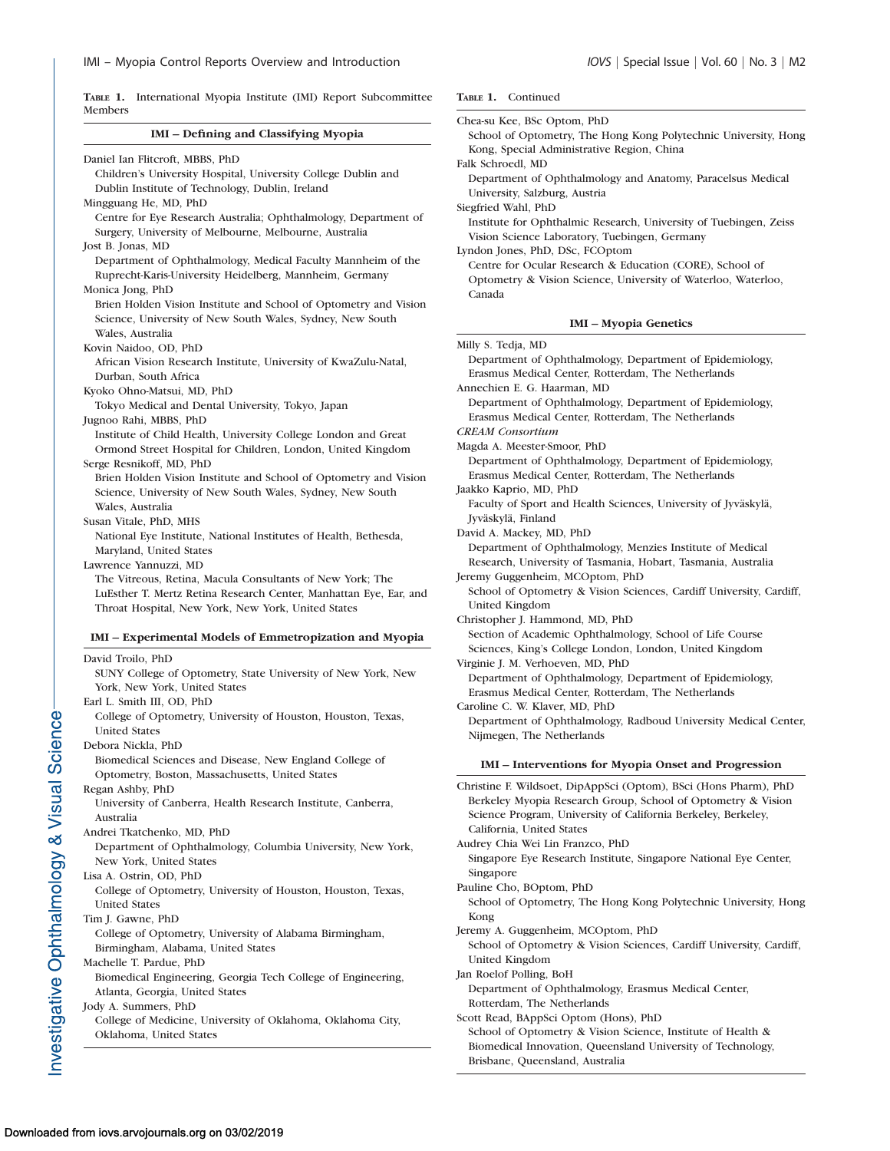TABLE 1. International Myopia Institute (IMI) Report Subcommittee Members

# IMI – Defining and Classifying Myopia

| Daniel Ian Flitcroft, MBBS, PhD                                                                                         |
|-------------------------------------------------------------------------------------------------------------------------|
| Children's University Hospital, University College Dublin and                                                           |
| Dublin Institute of Technology, Dublin, Ireland                                                                         |
| Mingguang He, MD, PhD                                                                                                   |
| Centre for Eye Research Australia; Ophthalmology, Department of                                                         |
| Surgery, University of Melbourne, Melbourne, Australia                                                                  |
| Jost B. Jonas, MD                                                                                                       |
| Department of Ophthalmology, Medical Faculty Mannheim of the                                                            |
| Ruprecht-Karis-University Heidelberg, Mannheim, Germany                                                                 |
| Monica Jong, PhD                                                                                                        |
| Brien Holden Vision Institute and School of Optometry and Vision                                                        |
| Science, University of New South Wales, Sydney, New South                                                               |
| Wales, Australia                                                                                                        |
| Kovin Naidoo, OD, PhD                                                                                                   |
| African Vision Research Institute, University of KwaZulu-Natal,                                                         |
| Durban, South Africa<br>Kyoko Ohno-Matsui, MD, PhD                                                                      |
| Tokyo Medical and Dental University, Tokyo, Japan                                                                       |
| Jugnoo Rahi, MBBS, PhD                                                                                                  |
| Institute of Child Health, University College London and Great                                                          |
| Ormond Street Hospital for Children, London, United Kingdom                                                             |
| Serge Resnikoff, MD, PhD                                                                                                |
| Brien Holden Vision Institute and School of Optometry and Vision                                                        |
| Science, University of New South Wales, Sydney, New South                                                               |
| Wales, Australia                                                                                                        |
| Susan Vitale, PhD, MHS                                                                                                  |
| National Eye Institute, National Institutes of Health, Bethesda,                                                        |
| Maryland, United States                                                                                                 |
| Lawrence Yannuzzi, MD                                                                                                   |
| The Vitreous, Retina, Macula Consultants of New York; The                                                               |
| LuEsther T. Mertz Retina Research Center, Manhattan Eye, Ear, and<br>Throat Hospital, New York, New York, United States |
|                                                                                                                         |
|                                                                                                                         |
| IMI - Experimental Models of Emmetropization and Myopia                                                                 |
|                                                                                                                         |
| David Troilo, PhD                                                                                                       |
| SUNY College of Optometry, State University of New York, New                                                            |
| York, New York, United States                                                                                           |
| Earl L. Smith III, OD, PhD                                                                                              |
| College of Optometry, University of Houston, Houston, Texas,<br><b>United States</b>                                    |
| Debora Nickla, PhD                                                                                                      |
| Biomedical Sciences and Disease, New England College of                                                                 |
| Optometry, Boston, Massachusetts, United States                                                                         |
| Regan Ashby, PhD                                                                                                        |
| University of Canberra, Health Research Institute, Canberra,                                                            |
| Australia                                                                                                               |
| Andrei Tkatchenko, MD, PhD                                                                                              |
| Department of Ophthalmology, Columbia University, New York,                                                             |
| New York, United States                                                                                                 |
| Lisa A. Ostrin, OD, PhD                                                                                                 |
| College of Optometry, University of Houston, Houston, Texas,                                                            |
| <b>United States</b>                                                                                                    |
| Tim J. Gawne, PhD                                                                                                       |
| College of Optometry, University of Alabama Birmingham,                                                                 |
| Birmingham, Alabama, United States                                                                                      |
| Machelle T. Pardue, PhD                                                                                                 |
| Biomedical Engineering, Georgia Tech College of Engineering,<br>Atlanta, Georgia, United States                         |
| Jody A. Summers, PhD                                                                                                    |
| College of Medicine, University of Oklahoma, Oklahoma City,                                                             |
| Oklahoma, United States                                                                                                 |
|                                                                                                                         |

| TABLE 1. | Continued |
|----------|-----------|
|          |           |

| Chea-su Kee, BSc Optom, PhD<br>School of Optometry, The Hong Kong Polytechnic University, Hong<br>Kong, Special Administrative Region, China                 |
|--------------------------------------------------------------------------------------------------------------------------------------------------------------|
| Falk Schroedl, MD<br>Department of Ophthalmology and Anatomy, Paracelsus Medical<br>University, Salzburg, Austria                                            |
| Siegfried Wahl, PhD<br>Institute for Ophthalmic Research, University of Tuebingen, Zeiss<br>Vision Science Laboratory, Tuebingen, Germany                    |
| Lyndon Jones, PhD, DSc, FCOptom<br>Centre for Ocular Research & Education (CORE), School of<br>Optometry & Vision Science, University of Waterloo, Waterloo, |
| Canada                                                                                                                                                       |
| IMI – Myopia Genetics                                                                                                                                        |
| Milly S. Tedja, MD                                                                                                                                           |
| Department of Ophthalmology, Department of Epidemiology,<br>Erasmus Medical Center, Rotterdam, The Netherlands<br>Annechien E. G. Haarman, MD                |
| Department of Ophthalmology, Department of Epidemiology,<br>Erasmus Medical Center, Rotterdam, The Netherlands                                               |
| <b>CREAM</b> Consortium                                                                                                                                      |
| Magda A. Meester-Smoor, PhD<br>Department of Ophthalmology, Department of Epidemiology,                                                                      |
| Erasmus Medical Center, Rotterdam, The Netherlands<br>Jaakko Kaprio, MD, PhD                                                                                 |
| Faculty of Sport and Health Sciences, University of Jyväskylä,<br>Jyväskylä, Finland                                                                         |
| David A. Mackey, MD, PhD<br>Department of Ophthalmology, Menzies Institute of Medical                                                                        |
| Research, University of Tasmania, Hobart, Tasmania, Australia                                                                                                |
| Jeremy Guggenheim, MCOptom, PhD<br>School of Optometry & Vision Sciences, Cardiff University, Cardiff,<br>United Kingdom                                     |
| Christopher J. Hammond, MD, PhD                                                                                                                              |
| Section of Academic Ophthalmology, School of Life Course<br>Sciences, King's College London, London, United Kingdom                                          |
| Virginie J. M. Verhoeven, MD, PhD<br>Department of Ophthalmology, Department of Epidemiology,<br>Erasmus Medical Center, Rotterdam, The Netherlands          |
| Caroline C. W. Klaver, MD, PhD                                                                                                                               |
| Department of Ophthalmology, Radboud University Medical Center,<br>Nijmegen, The Netherlands                                                                 |
| IMI - Interventions for Myopia Onset and Progression                                                                                                         |
| Christine F. Wildsoet, DipAppSci (Optom), BSci (Hons Pharm), PhD                                                                                             |
| Berkeley Myopia Research Group, School of Optometry & Vision<br>Science Program, University of California Berkeley, Berkeley,                                |
| California, United States<br>Audrey Chia Wei Lin Franzco, PhD                                                                                                |
| Singapore Eye Research Institute, Singapore National Eye Center,<br>Singapore                                                                                |
| Pauline Cho, BOptom, PhD                                                                                                                                     |
| School of Optometry, The Hong Kong Polytechnic University, Hong                                                                                              |
| Kong                                                                                                                                                         |
| Jeremy A. Guggenheim, MCOptom, PhD<br>School of Optometry & Vision Sciences, Cardiff University, Cardiff,                                                    |
| United Kingdom<br>Jan Roelof Polling, BoH                                                                                                                    |
| Department of Ophthalmology, Erasmus Medical Center,                                                                                                         |
| Rotterdam, The Netherlands                                                                                                                                   |
| Scott Read, BAppSci Optom (Hons), PhD                                                                                                                        |
| School of Optometry & Vision Science, Institute of Health &                                                                                                  |
| Biomedical Innovation, Queensland University of Technology,<br>Brisbane, Queensland, Australia                                                               |

Investigative Ophthalmology & Visual Science-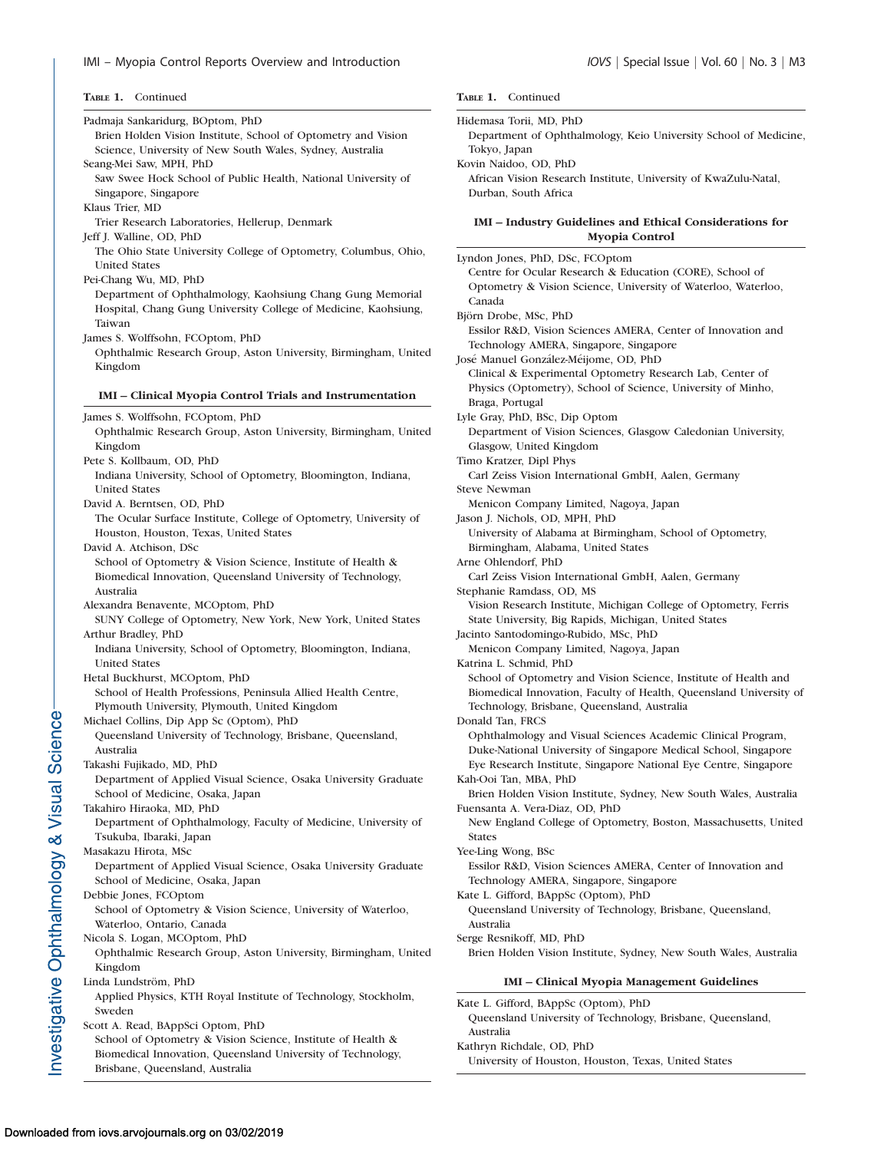## TABLE 1. Continued Padmaja Sankaridurg, BOptom, PhD Brien Holden Vision Institute, School of Optometry and Vision Science, University of New South Wales, Sydney, Australia Seang-Mei Saw, MPH, PhD Saw Swee Hock School of Public Health, National University of Singapore, Singapore Klaus Trier, MD Trier Research Laboratories, Hellerup, Denmark Jeff J. Walline, OD, PhD The Ohio State University College of Optometry, Columbus, Ohio, United States Pei-Chang Wu, MD, PhD Department of Ophthalmology, Kaohsiung Chang Gung Memorial Hospital, Chang Gung University College of Medicine, Kaohsiung, Taiwan James S. Wolffsohn, FCOptom, PhD Ophthalmic Research Group, Aston University, Birmingham, United Kingdom IMI – Clinical Myopia Control Trials and Instrumentation James S. Wolffsohn, FCOptom, PhD Ophthalmic Research Group, Aston University, Birmingham, United Kingdom Pete S. Kollbaum, OD, PhD Indiana University, School of Optometry, Bloomington, Indiana, United States David A. Berntsen, OD, PhD The Ocular Surface Institute, College of Optometry, University of Houston, Houston, Texas, United States David A. Atchison, DSc School of Optometry & Vision Science, Institute of Health & Biomedical Innovation, Queensland University of Technology, Australia Alexandra Benavente, MCOptom, PhD SUNY College of Optometry, New York, New York, United States Arthur Bradley, PhD Indiana University, School of Optometry, Bloomington, Indiana, United States Hetal Buckhurst, MCOptom, PhD School of Health Professions, Peninsula Allied Health Centre, Plymouth University, Plymouth, United Kingdom Michael Collins, Dip App Sc (Optom), PhD Queensland University of Technology, Brisbane, Queensland, Australia Takashi Fujikado, MD, PhD Department of Applied Visual Science, Osaka University Graduate School of Medicine, Osaka, Japan Takahiro Hiraoka, MD, PhD Department of Ophthalmology, Faculty of Medicine, University of Tsukuba, Ibaraki, Japan Masakazu Hirota, MSc Department of Applied Visual Science, Osaka University Graduate School of Medicine, Osaka, Japan Debbie Jones, FCOptom School of Optometry & Vision Science, University of Waterloo, Waterloo, Ontario, Canada Nicola S. Logan, MCOptom, PhD Ophthalmic Research Group, Aston University, Birmingham, United Kingdom Linda Lundström, PhD Applied Physics, KTH Royal Institute of Technology, Stockholm, Sweden Scott A. Read, BAppSci Optom, PhD

#### TABLE 1. Continued

## Hidemasa Torii, MD, PhD Department of Ophthalmology, Keio University School of Medicine, Tokyo, Japan Kovin Naidoo, OD, PhD African Vision Research Institute, University of KwaZulu-Natal, Durban, South Africa

#### IMI – Industry Guidelines and Ethical Considerations for Myopia Control

| Lyndon Jones, PhD, DSc, FCOptom                                    |
|--------------------------------------------------------------------|
| Centre for Ocular Research & Education (CORE), School of           |
| Optometry & Vision Science, University of Waterloo, Waterloo,      |
| Canada                                                             |
| Björn Drobe, MSc, PhD                                              |
| Essilor R&D, Vision Sciences AMERA, Center of Innovation and       |
| Technology AMERA, Singapore, Singapore                             |
| José Manuel González-Méijome, OD, PhD                              |
| Clinical & Experimental Optometry Research Lab, Center of          |
| Physics (Optometry), School of Science, University of Minho,       |
| Braga, Portugal                                                    |
| Lyle Gray, PhD, BSc, Dip Optom                                     |
| Department of Vision Sciences, Glasgow Caledonian University,      |
| Glasgow, United Kingdom                                            |
| Timo Kratzer, Dipl Phys                                            |
| Carl Zeiss Vision International GmbH, Aalen, Germany               |
| <b>Steve Newman</b>                                                |
| Menicon Company Limited, Nagoya, Japan                             |
| Jason J. Nichols, OD, MPH, PhD                                     |
| University of Alabama at Birmingham, School of Optometry,          |
| Birmingham, Alabama, United States                                 |
| Arne Ohlendorf, PhD                                                |
| Carl Zeiss Vision International GmbH, Aalen, Germany               |
| Stephanie Ramdass, OD, MS                                          |
| Vision Research Institute, Michigan College of Optometry, Ferris   |
| State University, Big Rapids, Michigan, United States              |
| Jacinto Santodomingo-Rubido, MSc, PhD                              |
| Menicon Company Limited, Nagoya, Japan                             |
| Katrina L. Schmid, PhD                                             |
| School of Optometry and Vision Science, Institute of Health and    |
| Biomedical Innovation, Faculty of Health, Queensland University of |
| Technology, Brisbane, Queensland, Australia                        |
| Donald Tan, FRCS                                                   |
| Ophthalmology and Visual Sciences Academic Clinical Program,       |
| Duke-National University of Singapore Medical School, Singapore    |
| Eye Research Institute, Singapore National Eye Centre, Singapore   |
| Kah-Ooi Tan, MBA, PhD                                              |
| Brien Holden Vision Institute, Sydney, New South Wales, Australia  |
| Fuensanta A. Vera-Diaz, OD, PhD                                    |
| New England College of Optometry, Boston, Massachusetts, United    |
| <b>States</b>                                                      |
| Yee-Ling Wong, BSc                                                 |
| Essilor R&D, Vision Sciences AMERA, Center of Innovation and       |
| Technology AMERA, Singapore, Singapore                             |
| Kate L. Gifford, BAppSc (Optom), PhD                               |
| Queensland University of Technology, Brisbane, Queensland,         |
| Australia                                                          |
| Serge Resnikoff, MD, PhD                                           |
| Brien Holden Vision Institute, Sydney, New South Wales, Australia  |
|                                                                    |

IMI – Clinical Myopia Management Guidelines

Kate L. Gifford, BAppSc (Optom), PhD Queensland University of Technology, Brisbane, Queensland, Australia

Kathryn Richdale, OD, PhD

University of Houston, Houston, Texas, United States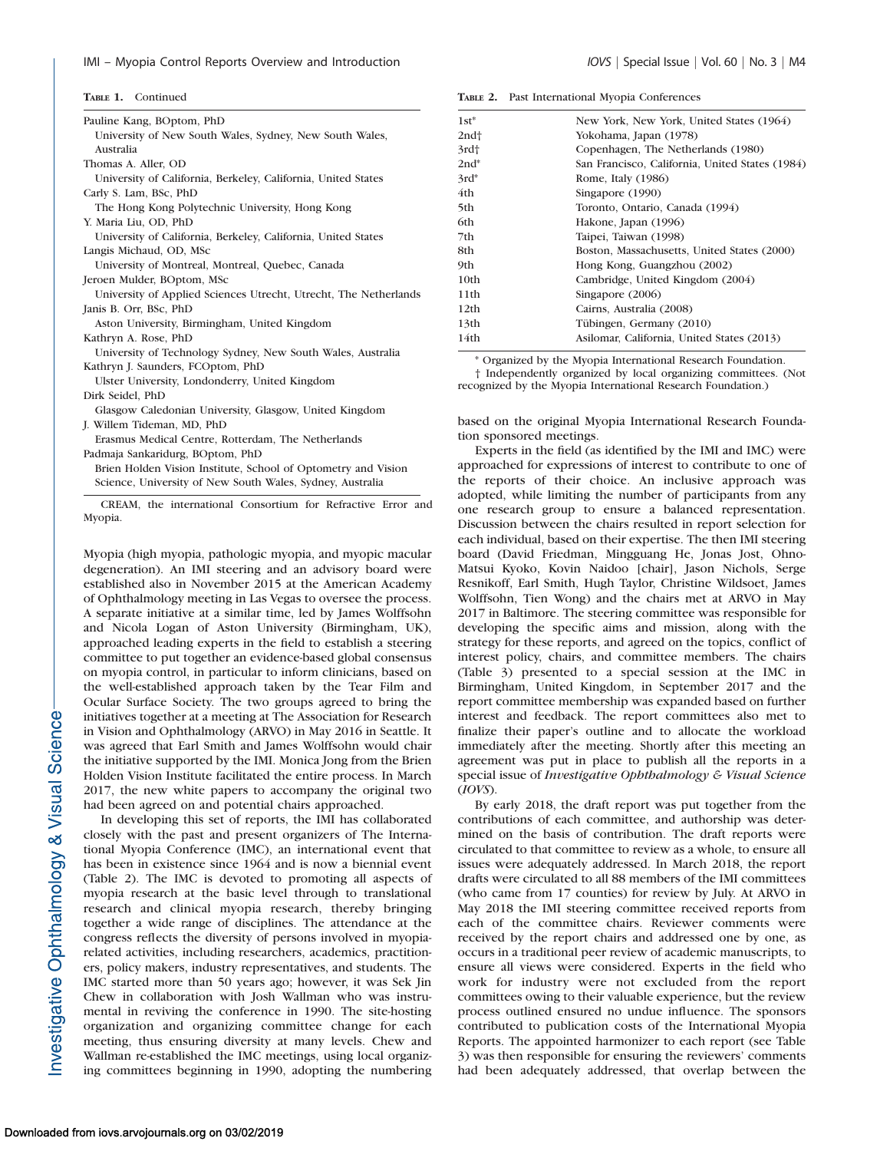#### IMI – Myopia Control Reports Overview and Introduction Intervention Intervention Intervention Intervention Intervention Intervention Intervention Intervention Intervention Intervention Intervention Intervention Interventio

| TABLE 1. | Continued |
|----------|-----------|
|----------|-----------|

| Pauline Kang, BOptom, PhD                               |
|---------------------------------------------------------|
| University of New South Wales, Sydney, New South Wales, |
| Australia                                               |
| Thomas A. Aller. OD                                     |

| University of California, Berkeley, California, United States |  |  |
|---------------------------------------------------------------|--|--|
| Carly S. Lam, BSc, PhD                                        |  |  |

The Hong Kong Polytechnic University, Hong Kong

Y. Maria Liu, OD, PhD

University of California, Berkeley, California, United States Langis Michaud, OD, MSc

University of Montreal, Montreal, Quebec, Canada

Jeroen Mulder, BOptom, MSc University of Applied Sciences Utrecht, Utrecht, The Netherlands Janis B. Orr, BSc, PhD

Aston University, Birmingham, United Kingdom

Kathryn A. Rose, PhD

University of Technology Sydney, New South Wales, Australia Kathryn J. Saunders, FCOptom, PhD

Ulster University, Londonderry, United Kingdom

Dirk Seidel, PhD

Glasgow Caledonian University, Glasgow, United Kingdom J. Willem Tideman, MD, PhD

Erasmus Medical Centre, Rotterdam, The Netherlands Padmaja Sankaridurg, BOptom, PhD

Brien Holden Vision Institute, School of Optometry and Vision Science, University of New South Wales, Sydney, Australia

CREAM, the international Consortium for Refractive Error and Myopia.

Myopia (high myopia, pathologic myopia, and myopic macular degeneration). An IMI steering and an advisory board were established also in November 2015 at the American Academy of Ophthalmology meeting in Las Vegas to oversee the process. A separate initiative at a similar time, led by James Wolffsohn and Nicola Logan of Aston University (Birmingham, UK), approached leading experts in the field to establish a steering committee to put together an evidence-based global consensus on myopia control, in particular to inform clinicians, based on the well-established approach taken by the Tear Film and Ocular Surface Society. The two groups agreed to bring the initiatives together at a meeting at The Association for Research in Vision and Ophthalmology (ARVO) in May 2016 in Seattle. It was agreed that Earl Smith and James Wolffsohn would chair the initiative supported by the IMI. Monica Jong from the Brien Holden Vision Institute facilitated the entire process. In March 2017, the new white papers to accompany the original two had been agreed on and potential chairs approached.

In developing this set of reports, the IMI has collaborated closely with the past and present organizers of The International Myopia Conference (IMC), an international event that has been in existence since 1964 and is now a biennial event (Table 2). The IMC is devoted to promoting all aspects of myopia research at the basic level through to translational research and clinical myopia research, thereby bringing together a wide range of disciplines. The attendance at the congress reflects the diversity of persons involved in myopiarelated activities, including researchers, academics, practitioners, policy makers, industry representatives, and students. The IMC started more than 50 years ago; however, it was Sek Jin Chew in collaboration with Josh Wallman who was instrumental in reviving the conference in 1990. The site-hosting organization and organizing committee change for each meeting, thus ensuring diversity at many levels. Chew and Wallman re-established the IMC meetings, using local organizing committees beginning in 1990, adopting the numbering

TABLE 2. Past International Myopia Conferences

| $1st^*$          | New York, New York, United States (1964)        |
|------------------|-------------------------------------------------|
| 2nd <sub>1</sub> | Yokohama, Japan (1978)                          |
| 3rd <sup>+</sup> | Copenhagen, The Netherlands (1980)              |
| $2nd*$           | San Francisco, California, United States (1984) |
| $3rd^*$          | Rome, Italy (1986)                              |
| 4th              | Singapore (1990)                                |
| 5th              | Toronto, Ontario, Canada (1994)                 |
| 6th              | Hakone, Japan (1996)                            |
| 7th              | Taipei, Taiwan (1998)                           |
| 8th              | Boston, Massachusetts, United States (2000)     |
| 9th              | Hong Kong, Guangzhou (2002)                     |
| 10th             | Cambridge, United Kingdom (2004)                |
| 11th             | Singapore (2006)                                |
| 12th             | Cairns, Australia (2008)                        |
| 13 <sub>th</sub> | Tübingen, Germany (2010)                        |
| 14th             | Asilomar, California, United States (2013)      |
|                  |                                                 |

Organized by the Myopia International Research Foundation. † Independently organized by local organizing committees. (Not recognized by the Myopia International Research Foundation.)

based on the original Myopia International Research Foundation sponsored meetings.

Experts in the field (as identified by the IMI and IMC) were approached for expressions of interest to contribute to one of the reports of their choice. An inclusive approach was adopted, while limiting the number of participants from any one research group to ensure a balanced representation. Discussion between the chairs resulted in report selection for each individual, based on their expertise. The then IMI steering board (David Friedman, Mingguang He, Jonas Jost, Ohno-Matsui Kyoko, Kovin Naidoo [chair], Jason Nichols, Serge Resnikoff, Earl Smith, Hugh Taylor, Christine Wildsoet, James Wolffsohn, Tien Wong) and the chairs met at ARVO in May 2017 in Baltimore. The steering committee was responsible for developing the specific aims and mission, along with the strategy for these reports, and agreed on the topics, conflict of interest policy, chairs, and committee members. The chairs (Table 3) presented to a special session at the IMC in Birmingham, United Kingdom, in September 2017 and the report committee membership was expanded based on further interest and feedback. The report committees also met to finalize their paper's outline and to allocate the workload immediately after the meeting. Shortly after this meeting an agreement was put in place to publish all the reports in a special issue of Investigative Ophthalmology & Visual Science (IOVS).

By early 2018, the draft report was put together from the contributions of each committee, and authorship was determined on the basis of contribution. The draft reports were circulated to that committee to review as a whole, to ensure all issues were adequately addressed. In March 2018, the report drafts were circulated to all 88 members of the IMI committees (who came from 17 counties) for review by July. At ARVO in May 2018 the IMI steering committee received reports from each of the committee chairs. Reviewer comments were received by the report chairs and addressed one by one, as occurs in a traditional peer review of academic manuscripts, to ensure all views were considered. Experts in the field who work for industry were not excluded from the report committees owing to their valuable experience, but the review process outlined ensured no undue influence. The sponsors contributed to publication costs of the International Myopia Reports. The appointed harmonizer to each report (see Table 3) was then responsible for ensuring the reviewers' comments had been adequately addressed, that overlap between the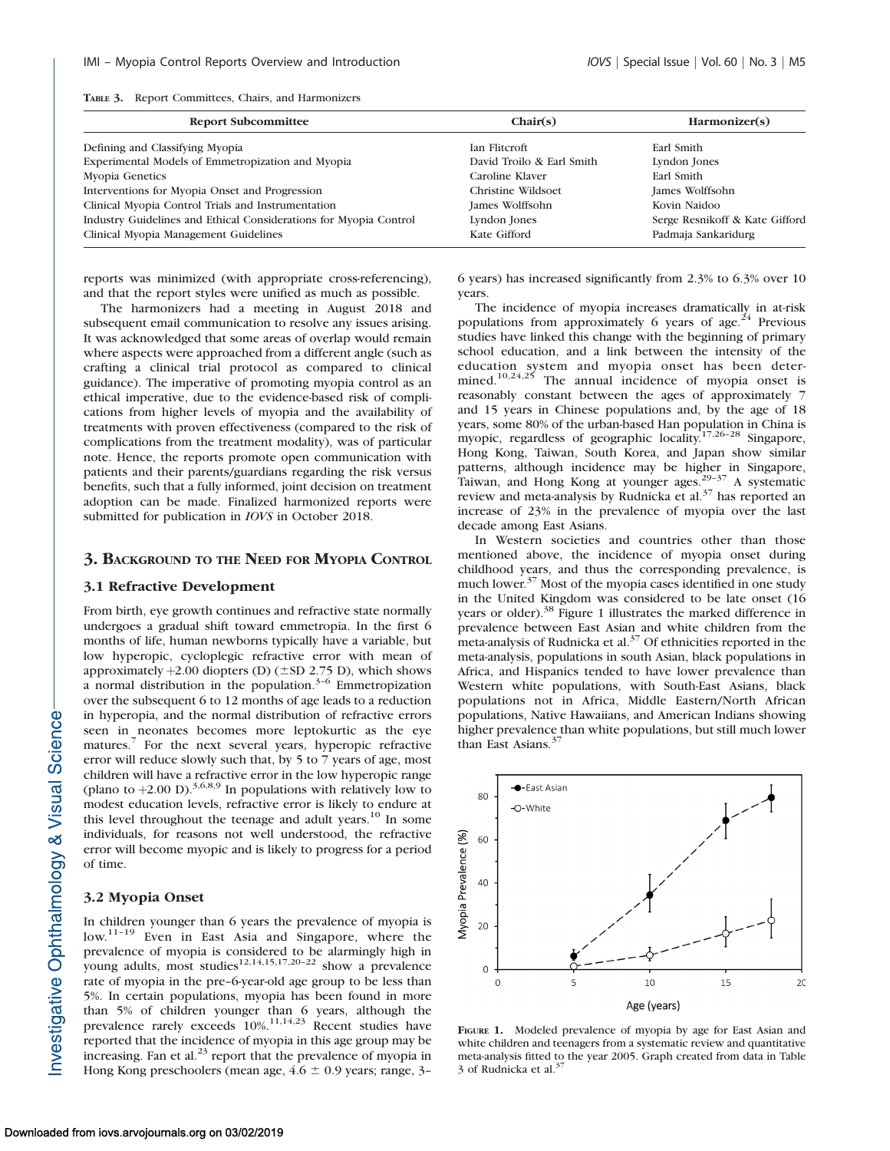| TABLE 3.<br>Report Committees, Chairs, and Harmonizers |  |  |  |
|--------------------------------------------------------|--|--|--|
|--------------------------------------------------------|--|--|--|

| <b>Report Subcommittee</b>                                        | Chair(s)                  | Harmonizer(s)                  |
|-------------------------------------------------------------------|---------------------------|--------------------------------|
| Defining and Classifying Myopia                                   | Ian Flitcroft             | Earl Smith                     |
| Experimental Models of Emmetropization and Myopia                 | David Troilo & Earl Smith | Lyndon Jones                   |
| Myopia Genetics                                                   | Caroline Klaver           | Earl Smith                     |
| Interventions for Myopia Onset and Progression                    | Christine Wildsoet        | James Wolffsohn                |
| Clinical Myopia Control Trials and Instrumentation                | James Wolffsohn           | Kovin Naidoo                   |
| Industry Guidelines and Ethical Considerations for Myopia Control | Lyndon Jones              | Serge Resnikoff & Kate Gifford |
| Clinical Myopia Management Guidelines                             | Kate Gifford              | Padmaja Sankaridurg            |

reports was minimized (with appropriate cross-referencing), and that the report styles were unified as much as possible.

The harmonizers had a meeting in August 2018 and subsequent email communication to resolve any issues arising. It was acknowledged that some areas of overlap would remain where aspects were approached from a different angle (such as crafting a clinical trial protocol as compared to clinical guidance). The imperative of promoting myopia control as an ethical imperative, due to the evidence-based risk of complications from higher levels of myopia and the availability of treatments with proven effectiveness (compared to the risk of complications from the treatment modality), was of particular note. Hence, the reports promote open communication with patients and their parents/guardians regarding the risk versus benefits, such that a fully informed, joint decision on treatment adoption can be made. Finalized harmonized reports were submitted for publication in IOVS in October 2018.

#### 3. BACKGROUND TO THE NEED FOR MYOPIA CONTROL

#### 3.1 Refractive Development

From birth, eye growth continues and refractive state normally undergoes a gradual shift toward emmetropia. In the first 6 months of life, human newborns typically have a variable, but low hyperopic, cycloplegic refractive error with mean of approximately  $+2.00$  diopters (D) ( $\pm$ SD 2.75 D), which shows a normal distribution in the population.<sup>3-6</sup> Emmetropization over the subsequent 6 to 12 months of age leads to a reduction in hyperopia, and the normal distribution of refractive errors seen in neonates becomes more leptokurtic as the eye matures.<sup>7</sup> For the next several years, hyperopic refractive error will reduce slowly such that, by 5 to 7 years of age, most children will have a refractive error in the low hyperopic range (plano to  $+2.00$  D).<sup>3,6,8,9</sup> In populations with relatively low to modest education levels, refractive error is likely to endure at this level throughout the teenage and adult years.<sup>10</sup> In some individuals, for reasons not well understood, the refractive error will become myopic and is likely to progress for a period of time.

#### 3.2 Myopia Onset

In children younger than 6 years the prevalence of myopia is low.<sup>11-19</sup> Even in East Asia and Singapore, where the prevalence of myopia is considered to be alarmingly high in young adults, most studies<sup>12,14,15,17,20-22</sup> show a prevalence rate of myopia in the pre–6-year-old age group to be less than 5%. In certain populations, myopia has been found in more than 5% of children younger than 6 years, although the prevalence rarely exceeds 10%.<sup>11,14,23</sup> Recent studies have reported that the incidence of myopia in this age group may be increasing. Fan et al. $^{23}$  report that the prevalence of myopia in Hong Kong preschoolers (mean age,  $4.6 \pm 0.9$  years; range,  $3-$  6 years) has increased significantly from 2.3% to 6.3% over 10 years.

The incidence of myopia increases dramatically in at-risk populations from approximately 6 years of age.<sup>24</sup> Previous studies have linked this change with the beginning of primary school education, and a link between the intensity of the education system and myopia onset has been determined.<sup>10,24,25</sup> The annual incidence of myopia onset is reasonably constant between the ages of approximately 7 and 15 years in Chinese populations and, by the age of 18 years, some 80% of the urban-based Han population in China is myopic, regardless of geographic locality.17,26–28 Singapore, Hong Kong, Taiwan, South Korea, and Japan show similar patterns, although incidence may be higher in Singapore, Taiwan, and Hong Kong at younger ages.<sup>29-37</sup> A systematic review and meta-analysis by Rudnicka et al.<sup>37</sup> has reported an increase of 23% in the prevalence of myopia over the last decade among East Asians.

In Western societies and countries other than those mentioned above, the incidence of myopia onset during childhood years, and thus the corresponding prevalence, is much lower.<sup>37</sup> Most of the myopia cases identified in one study in the United Kingdom was considered to be late onset (16 years or older).<sup>38</sup> Figure 1 illustrates the marked difference in prevalence between East Asian and white children from the meta-analysis of Rudnicka et al.<sup>37</sup> Of ethnicities reported in the meta-analysis, populations in south Asian, black populations in Africa, and Hispanics tended to have lower prevalence than Western white populations, with South-East Asians, black populations not in Africa, Middle Eastern/North African populations, Native Hawaiians, and American Indians showing higher prevalence than white populations, but still much lower than East Asians.<sup>3</sup>



FIGURE 1. Modeled prevalence of myopia by age for East Asian and white children and teenagers from a systematic review and quantitative meta-analysis fitted to the year 2005. Graph created from data in Table 3 of Rudnicka et al.<sup>3</sup>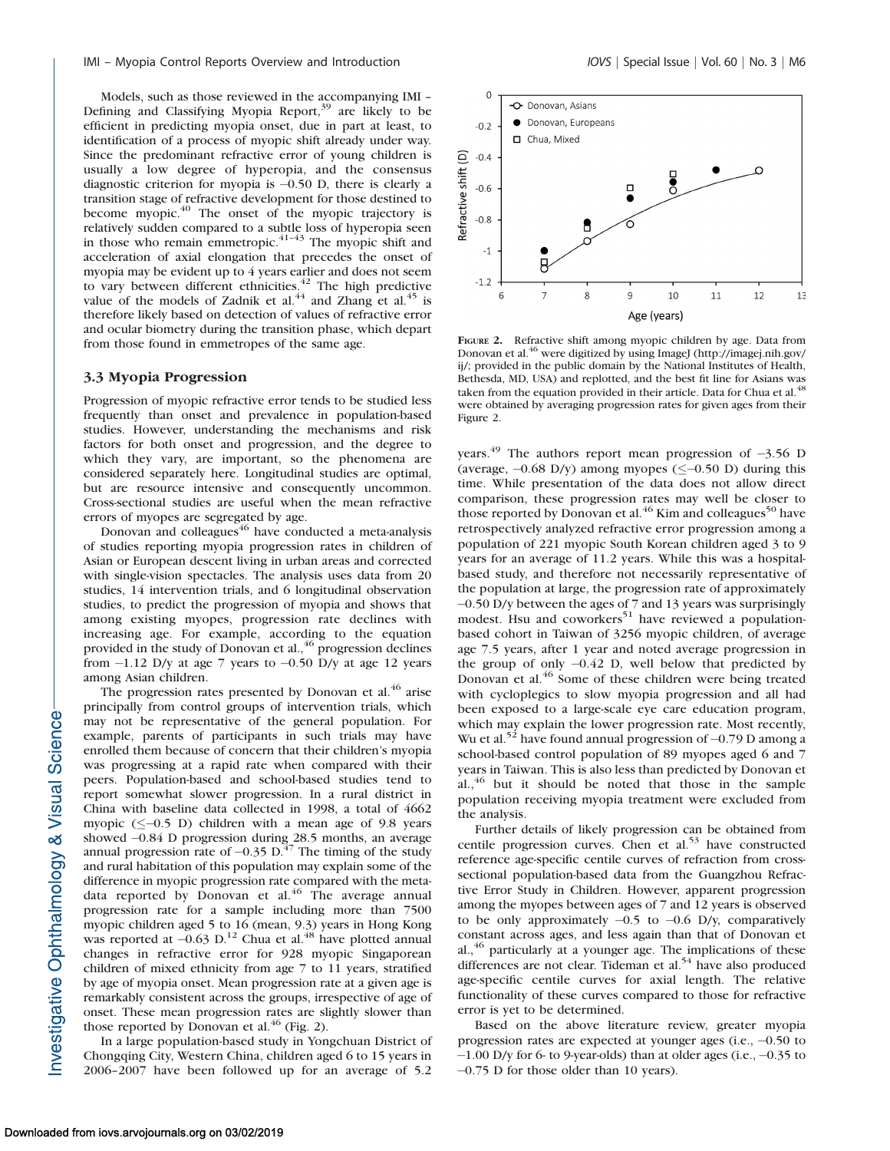Models, such as those reviewed in the accompanying IMI – Defining and Classifying Myopia Report, $39$  are likely to be efficient in predicting myopia onset, due in part at least, to identification of a process of myopic shift already under way. Since the predominant refractive error of young children is usually a low degree of hyperopia, and the consensus diagnostic criterion for myopia is -0.50 D, there is clearly a transition stage of refractive development for those destined to become myopic. $40$  The onset of the myopic trajectory is relatively sudden compared to a subtle loss of hyperopia seen in those who remain emmetropic. $41-43$  The myopic shift and acceleration of axial elongation that precedes the onset of myopia may be evident up to 4 years earlier and does not seem to vary between different ethnicities.<sup>42</sup> The high predictive value of the models of Zadnik et al. $44$  and Zhang et al. $45$  is therefore likely based on detection of values of refractive error and ocular biometry during the transition phase, which depart from those found in emmetropes of the same age.

#### 3.3 Myopia Progression

Progression of myopic refractive error tends to be studied less frequently than onset and prevalence in population-based studies. However, understanding the mechanisms and risk factors for both onset and progression, and the degree to which they vary, are important, so the phenomena are considered separately here. Longitudinal studies are optimal, but are resource intensive and consequently uncommon. Cross-sectional studies are useful when the mean refractive errors of myopes are segregated by age.

Donovan and colleagues $46$  have conducted a meta-analysis of studies reporting myopia progression rates in children of Asian or European descent living in urban areas and corrected with single-vision spectacles. The analysis uses data from 20 studies, 14 intervention trials, and 6 longitudinal observation studies, to predict the progression of myopia and shows that among existing myopes, progression rate declines with increasing age. For example, according to the equation provided in the study of Donovan et al.,<sup>46</sup> progression declines from  $-1.12$  D/y at age 7 years to  $-0.50$  D/y at age 12 years among Asian children.

The progression rates presented by Donovan et al.<sup>46</sup> arise principally from control groups of intervention trials, which may not be representative of the general population. For example, parents of participants in such trials may have enrolled them because of concern that their children's myopia was progressing at a rapid rate when compared with their peers. Population-based and school-based studies tend to report somewhat slower progression. In a rural district in China with baseline data collected in 1998, a total of 4662 myopic  $(\leq -0.5)$  D) children with a mean age of 9.8 years showed -0.84 D progression during 28.5 months, an average annual progression rate of  $-0.35$  D.<sup>47</sup> The timing of the study and rural habitation of this population may explain some of the difference in myopic progression rate compared with the metadata reported by Donovan et al.<sup>46</sup> The average annual progression rate for a sample including more than 7500 myopic children aged 5 to 16 (mean, 9.3) years in Hong Kong was reported at  $-0.63$  D.<sup>12</sup> Chua et al.<sup>48</sup> have plotted annual changes in refractive error for 928 myopic Singaporean children of mixed ethnicity from age 7 to 11 years, stratified by age of myopia onset. Mean progression rate at a given age is remarkably consistent across the groups, irrespective of age of onset. These mean progression rates are slightly slower than those reported by Donovan et al. $^{46}$  (Fig. 2).

In a large population-based study in Yongchuan District of Chongqing City, Western China, children aged 6 to 15 years in 2006–2007 have been followed up for an average of 5.2



FIGURE 2. Refractive shift among myopic children by age. Data from Donovan et al.<sup>46</sup> were digitized by using ImageJ (http://imagej.nih.gov/ ij/; provided in the public domain by the National Institutes of Health, Bethesda, MD, USA) and replotted, and the best fit line for Asians was taken from the equation provided in their article. Data for Chua et al.  $48$ were obtained by averaging progression rates for given ages from their Figure 2.

years.<sup>49</sup> The authors report mean progression of  $-3.56$  D (average,  $-0.68$  D/y) among myopes ( $\leq$ -0.50 D) during this time. While presentation of the data does not allow direct comparison, these progression rates may well be closer to those reported by Donovan et al.<sup>46</sup> Kim and colleagues<sup>50</sup> have retrospectively analyzed refractive error progression among a population of 221 myopic South Korean children aged 3 to 9 years for an average of 11.2 years. While this was a hospitalbased study, and therefore not necessarily representative of the population at large, the progression rate of approximately -0.50 D/y between the ages of 7 and 13 years was surprisingly modest. Hsu and coworkers<sup>51</sup> have reviewed a populationbased cohort in Taiwan of 3256 myopic children, of average age 7.5 years, after 1 year and noted average progression in the group of only -0.42 D, well below that predicted by Donovan et al.<sup>46</sup> Some of these children were being treated with cycloplegics to slow myopia progression and all had been exposed to a large-scale eye care education program, which may explain the lower progression rate. Most recently, Wu et al.<sup>52</sup> have found annual progression of  $-0.79$  D among a school-based control population of 89 myopes aged 6 and 7 years in Taiwan. This is also less than predicted by Donovan et al., $46$  but it should be noted that those in the sample population receiving myopia treatment were excluded from the analysis.

Further details of likely progression can be obtained from centile progression curves. Chen et al. $53$  have constructed reference age-specific centile curves of refraction from crosssectional population-based data from the Guangzhou Refractive Error Study in Children. However, apparent progression among the myopes between ages of 7 and 12 years is observed to be only approximately  $-0.5$  to  $-0.6$  D/y, comparatively constant across ages, and less again than that of Donovan et al., $46$  particularly at a younger age. The implications of these differences are not clear. Tideman et al.<sup>54</sup> have also produced age-specific centile curves for axial length. The relative functionality of these curves compared to those for refractive error is yet to be determined.

Based on the above literature review, greater myopia progression rates are expected at younger ages (i.e., -0.50 to -1.00 D/y for 6- to 9-year-olds) than at older ages (i.e., -0.35 to -0.75 D for those older than 10 years).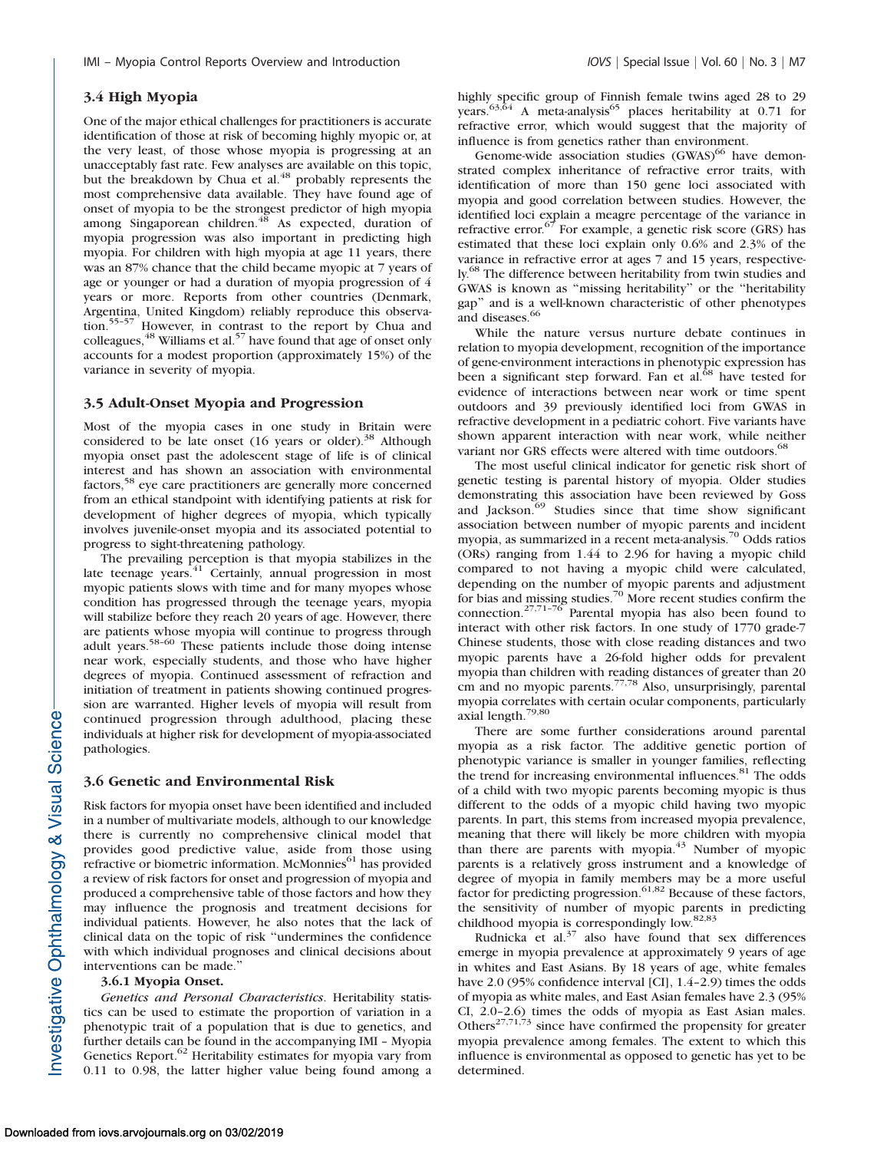One of the major ethical challenges for practitioners is accurate identification of those at risk of becoming highly myopic or, at the very least, of those whose myopia is progressing at an unacceptably fast rate. Few analyses are available on this topic, but the breakdown by Chua et al.<sup>48</sup> probably represents the most comprehensive data available. They have found age of onset of myopia to be the strongest predictor of high myopia among Singaporean children.<sup>48</sup> As expected, duration of myopia progression was also important in predicting high myopia. For children with high myopia at age 11 years, there was an 87% chance that the child became myopic at 7 years of age or younger or had a duration of myopia progression of 4 years or more. Reports from other countries (Denmark, Argentina, United Kingdom) reliably reproduce this observation.55–57 However, in contrast to the report by Chua and colleagues,<sup>48</sup> Williams et al.<sup>57</sup> have found that age of onset only accounts for a modest proportion (approximately 15%) of the variance in severity of myopia.

## 3.5 Adult-Onset Myopia and Progression

Most of the myopia cases in one study in Britain were considered to be late onset  $(16 \text{ years or older})^{38}$  Although myopia onset past the adolescent stage of life is of clinical interest and has shown an association with environmental factors,<sup>58</sup> eye care practitioners are generally more concerned from an ethical standpoint with identifying patients at risk for development of higher degrees of myopia, which typically involves juvenile-onset myopia and its associated potential to progress to sight-threatening pathology.

The prevailing perception is that myopia stabilizes in the late teenage years.<sup>41</sup> Certainly, annual progression in most myopic patients slows with time and for many myopes whose condition has progressed through the teenage years, myopia will stabilize before they reach 20 years of age. However, there are patients whose myopia will continue to progress through adult years.58–60 These patients include those doing intense near work, especially students, and those who have higher degrees of myopia. Continued assessment of refraction and initiation of treatment in patients showing continued progression are warranted. Higher levels of myopia will result from continued progression through adulthood, placing these individuals at higher risk for development of myopia-associated pathologies.

#### 3.6 Genetic and Environmental Risk

Risk factors for myopia onset have been identified and included in a number of multivariate models, although to our knowledge there is currently no comprehensive clinical model that provides good predictive value, aside from those using refractive or biometric information. McMonnies<sup>61</sup> has provided a review of risk factors for onset and progression of myopia and produced a comprehensive table of those factors and how they may influence the prognosis and treatment decisions for individual patients. However, he also notes that the lack of clinical data on the topic of risk ''undermines the confidence with which individual prognoses and clinical decisions about interventions can be made.''

#### 3.6.1 Myopia Onset.

Genetics and Personal Characteristics. Heritability statistics can be used to estimate the proportion of variation in a phenotypic trait of a population that is due to genetics, and further details can be found in the accompanying IMI – Myopia Genetics Report.<sup>62</sup> Heritability estimates for myopia vary from 0.11 to 0.98, the latter higher value being found among a highly specific group of Finnish female twins aged 28 to 29 years.<sup>63, $\overline{64}$ </sup> A meta-analysis<sup>65</sup> places heritability at 0.71 for refractive error, which would suggest that the majority of influence is from genetics rather than environment.

Genome-wide association studies  $(GWAS)^{66}$  have demonstrated complex inheritance of refractive error traits, with identification of more than 150 gene loci associated with myopia and good correlation between studies. However, the identified loci explain a meagre percentage of the variance in refractive error. $67$  For example, a genetic risk score (GRS) has estimated that these loci explain only 0.6% and 2.3% of the variance in refractive error at ages 7 and 15 years, respectively.<sup>68</sup> The difference between heritability from twin studies and GWAS is known as ''missing heritability'' or the ''heritability gap'' and is a well-known characteristic of other phenotypes and diseases.<sup>66</sup>

While the nature versus nurture debate continues in relation to myopia development, recognition of the importance of gene-environment interactions in phenotypic expression has been a significant step forward. Fan et al.<sup>68</sup> have tested for evidence of interactions between near work or time spent outdoors and 39 previously identified loci from GWAS in refractive development in a pediatric cohort. Five variants have shown apparent interaction with near work, while neither variant nor GRS effects were altered with time outdoors.<sup>68</sup>

The most useful clinical indicator for genetic risk short of genetic testing is parental history of myopia. Older studies demonstrating this association have been reviewed by Goss and Jackson.<sup>69</sup> Studies since that time show significant association between number of myopic parents and incident myopia, as summarized in a recent meta-analysis.<sup>70</sup> Odds ratios (ORs) ranging from 1.44 to 2.96 for having a myopic child compared to not having a myopic child were calculated, depending on the number of myopic parents and adjustment for bias and missing studies.<sup>70</sup> More recent studies confirm the connection.<sup>27,71-76</sup> Parental myopia has also been found to interact with other risk factors. In one study of 1770 grade-7 Chinese students, those with close reading distances and two myopic parents have a 26-fold higher odds for prevalent myopia than children with reading distances of greater than 20 cm and no myopic parents.77,78 Also, unsurprisingly, parental myopia correlates with certain ocular components, particularly axial length.79,80

There are some further considerations around parental myopia as a risk factor. The additive genetic portion of phenotypic variance is smaller in younger families, reflecting<br>the trend for increasing environmental influences.<sup>81</sup> The odds of a child with two myopic parents becoming myopic is thus different to the odds of a myopic child having two myopic parents. In part, this stems from increased myopia prevalence, meaning that there will likely be more children with myopia than there are parents with myopia. $43$  Number of myopic parents is a relatively gross instrument and a knowledge of degree of myopia in family members may be a more useful factor for predicting progression.<sup>61,82</sup> Because of these factors, the sensitivity of number of myopic parents in predicting childhood myopia is correspondingly low.82,83

Rudnicka et al. $37$  also have found that sex differences emerge in myopia prevalence at approximately 9 years of age in whites and East Asians. By 18 years of age, white females have 2.0 (95% confidence interval [CI], 1.4–2.9) times the odds of myopia as white males, and East Asian females have 2.3 (95% CI, 2.0–2.6) times the odds of myopia as East Asian males. Others<sup>27,71,73</sup> since have confirmed the propensity for greater myopia prevalence among females. The extent to which this influence is environmental as opposed to genetic has yet to be determined.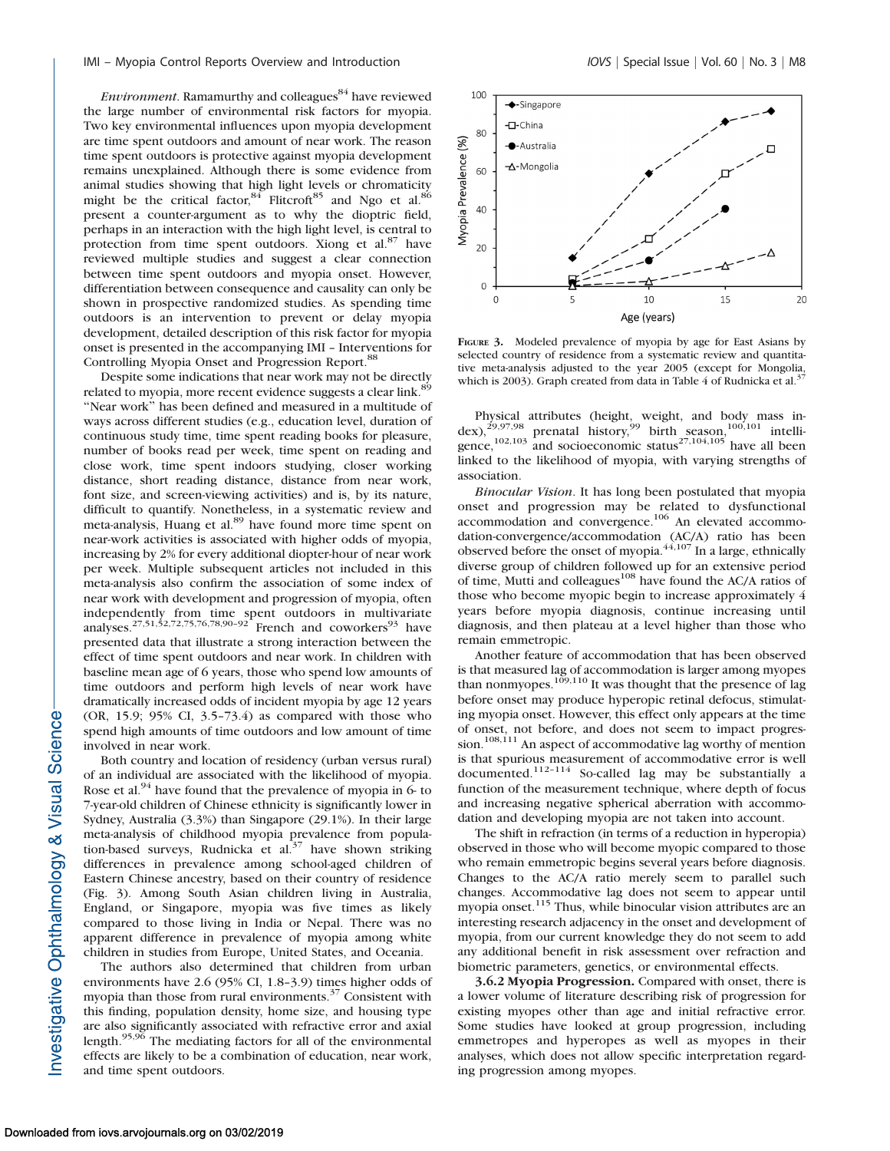Environment. Ramamurthy and colleagues<sup>84</sup> have reviewed the large number of environmental risk factors for myopia. Two key environmental influences upon myopia development are time spent outdoors and amount of near work. The reason time spent outdoors is protective against myopia development remains unexplained. Although there is some evidence from animal studies showing that high light levels or chromaticity might be the critical factor,  $84^{\circ}$  Flitcroft $85^{\circ}$  and Ngo et al.<sup>86</sup> present a counter-argument as to why the dioptric field, perhaps in an interaction with the high light level, is central to protection from time spent outdoors. Xiong et al.<sup>87</sup> have reviewed multiple studies and suggest a clear connection between time spent outdoors and myopia onset. However, differentiation between consequence and causality can only be shown in prospective randomized studies. As spending time outdoors is an intervention to prevent or delay myopia development, detailed description of this risk factor for myopia onset is presented in the accompanying IMI – Interventions for Controlling Myopia Onset and Progression Report.<sup>88</sup>

Despite some indications that near work may not be directly related to myopia, more recent evidence suggests a clear link.<sup>89</sup> ''Near work'' has been defined and measured in a multitude of ways across different studies (e.g., education level, duration of continuous study time, time spent reading books for pleasure, number of books read per week, time spent on reading and close work, time spent indoors studying, closer working distance, short reading distance, distance from near work, font size, and screen-viewing activities) and is, by its nature, difficult to quantify. Nonetheless, in a systematic review and meta-analysis, Huang et al.<sup>89</sup> have found more time spent on near-work activities is associated with higher odds of myopia, increasing by 2% for every additional diopter-hour of near work per week. Multiple subsequent articles not included in this meta-analysis also confirm the association of some index of near work with development and progression of myopia, often independently from time spent outdoors in multivariate analyses.<sup>27,51,52,72,75,76,78,90-92</sup> French and coworkers<sup>93</sup> have presented data that illustrate a strong interaction between the effect of time spent outdoors and near work. In children with baseline mean age of 6 years, those who spend low amounts of time outdoors and perform high levels of near work have dramatically increased odds of incident myopia by age 12 years (OR, 15.9; 95% CI, 3.5–73.4) as compared with those who spend high amounts of time outdoors and low amount of time involved in near work.

Both country and location of residency (urban versus rural) of an individual are associated with the likelihood of myopia. Rose et al.<sup>94</sup> have found that the prevalence of myopia in  $\overline{6}$  to 7-year-old children of Chinese ethnicity is significantly lower in Sydney, Australia (3.3%) than Singapore (29.1%). In their large meta-analysis of childhood myopia prevalence from population-based surveys, Rudnicka et al.<sup>37</sup> have shown striking differences in prevalence among school-aged children of Eastern Chinese ancestry, based on their country of residence (Fig. 3). Among South Asian children living in Australia, England, or Singapore, myopia was five times as likely compared to those living in India or Nepal. There was no apparent difference in prevalence of myopia among white children in studies from Europe, United States, and Oceania.

The authors also determined that children from urban environments have 2.6 (95% CI, 1.8–3.9) times higher odds of myopia than those from rural environments. $37$  Consistent with this finding, population density, home size, and housing type are also significantly associated with refractive error and axial length. $95,96$  The mediating factors for all of the environmental effects are likely to be a combination of education, near work, and time spent outdoors.



FIGURE 3. Modeled prevalence of myopia by age for East Asians by selected country of residence from a systematic review and quantitative meta-analysis adjusted to the year 2005 (except for Mongolia, which is 2003). Graph created from data in Table  $4$  of Rudnicka et al.<sup>37</sup>

Physical attributes (height, weight, and body mass in-<br>dex), $^{29,97,98}$  prenatal history, $^{99}$  birth season, $^{100,101}$  intelligence,<sup>102,103</sup> and socioeconomic status<sup>27,104,105</sup> have all been linked to the likelihood of myopia, with varying strengths of association.

Binocular Vision. It has long been postulated that myopia onset and progression may be related to dysfunctional accommodation and convergence.<sup>106</sup> An elevated accommodation-convergence/accommodation  $(AC/A)$  ratio has been observed before the onset of myopia.<sup>44,107</sup> In a large, ethnically diverse group of children followed up for an extensive period of time, Mutti and colleagues<sup>108</sup> have found the AC/A ratios of those who become myopic begin to increase approximately 4 years before myopia diagnosis, continue increasing until diagnosis, and then plateau at a level higher than those who remain emmetropic.

Another feature of accommodation that has been observed is that measured lag of accommodation is larger among myopes than nonmyopes.<sup>109,110</sup> It was thought that the presence of lag before onset may produce hyperopic retinal defocus, stimulating myopia onset. However, this effect only appears at the time of onset, not before, and does not seem to impact progression.<sup>108,111</sup> An aspect of accommodative lag worthy of mention is that spurious measurement of accommodative error is well documented.112–114 So-called lag may be substantially a function of the measurement technique, where depth of focus and increasing negative spherical aberration with accommodation and developing myopia are not taken into account.

The shift in refraction (in terms of a reduction in hyperopia) observed in those who will become myopic compared to those who remain emmetropic begins several years before diagnosis. Changes to the AC/A ratio merely seem to parallel such changes. Accommodative lag does not seem to appear until myopia onset.<sup>115</sup> Thus, while binocular vision attributes are an interesting research adjacency in the onset and development of myopia, from our current knowledge they do not seem to add any additional benefit in risk assessment over refraction and biometric parameters, genetics, or environmental effects.

3.6.2 Myopia Progression. Compared with onset, there is a lower volume of literature describing risk of progression for existing myopes other than age and initial refractive error. Some studies have looked at group progression, including emmetropes and hyperopes as well as myopes in their analyses, which does not allow specific interpretation regarding progression among myopes.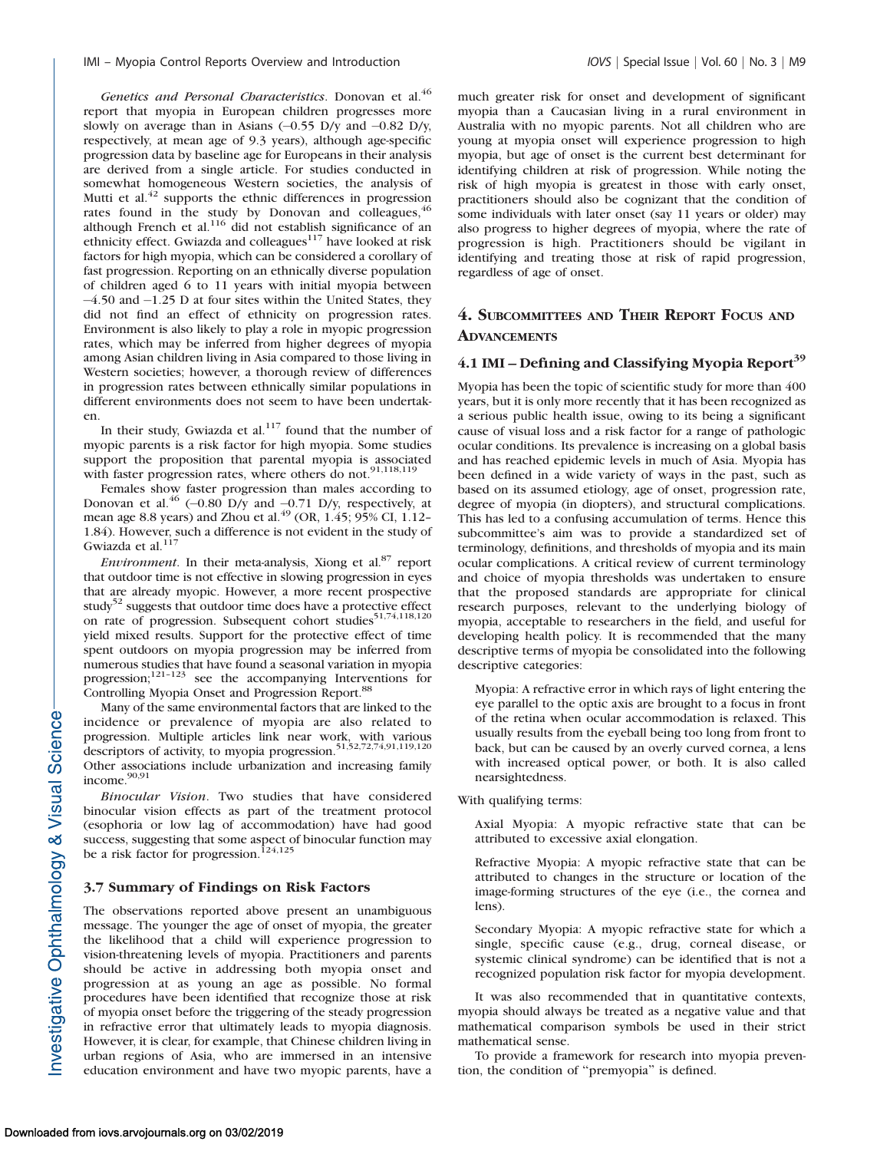Genetics and Personal Characteristics. Donovan et al.<sup>46</sup> report that myopia in European children progresses more slowly on average than in Asians  $(-0.55 \text{ D/y}$  and  $-0.82 \text{ D/y}$ , respectively, at mean age of 9.3 years), although age-specific progression data by baseline age for Europeans in their analysis are derived from a single article. For studies conducted in somewhat homogeneous Western societies, the analysis of Mutti et al. $42$  supports the ethnic differences in progression rates found in the study by Donovan and colleagues,  $46$ although French et al. $116$  did not establish significance of an ethnicity effect. Gwiazda and colleagues<sup>117</sup> have looked at risk factors for high myopia, which can be considered a corollary of fast progression. Reporting on an ethnically diverse population of children aged 6 to 11 years with initial myopia between -4.50 and -1.25 D at four sites within the United States, they did not find an effect of ethnicity on progression rates. Environment is also likely to play a role in myopic progression rates, which may be inferred from higher degrees of myopia among Asian children living in Asia compared to those living in Western societies; however, a thorough review of differences in progression rates between ethnically similar populations in different environments does not seem to have been undertaken.

In their study, Gwiazda et al. $117$  found that the number of myopic parents is a risk factor for high myopia. Some studies support the proposition that parental myopia is associated with faster progression rates, where others do not.<sup>91,118,119</sup>

Females show faster progression than males according to Donovan et al.<sup>46</sup> (-0.80 D/y and -0.71 D/y, respectively, at mean age 8.8 years) and Zhou et al.<sup>49</sup> (OR, 1.45; 95% CI, 1.12– 1.84). However, such a difference is not evident in the study of Gwiazda et al.<sup>11</sup>

*Environment*. In their meta-analysis, Xiong et al.<sup>87</sup> report that outdoor time is not effective in slowing progression in eyes that are already myopic. However, a more recent prospective study<sup>52</sup> suggests that outdoor time does have a protective effect on rate of progression. Subsequent cohort studies<sup>51,74,118,120</sup> yield mixed results. Support for the protective effect of time spent outdoors on myopia progression may be inferred from numerous studies that have found a seasonal variation in myopia progression; $121-123$  see the accompanying Interventions for Controlling Myopia Onset and Progression Report.<sup>88</sup>

Many of the same environmental factors that are linked to the incidence or prevalence of myopia are also related to progression. Multiple articles link near work, with various descriptors of activity, to myopia progression.51,52,72,74,91,119,120 Other associations include urbanization and increasing family income.<sup>90,91</sup>

Binocular Vision. Two studies that have considered binocular vision effects as part of the treatment protocol (esophoria or low lag of accommodation) have had good success, suggesting that some aspect of binocular function may<br>be a risk factor for progression.<sup>124,125</sup>

## 3.7 Summary of Findings on Risk Factors

The observations reported above present an unambiguous message. The younger the age of onset of myopia, the greater the likelihood that a child will experience progression to vision-threatening levels of myopia. Practitioners and parents should be active in addressing both myopia onset and progression at as young an age as possible. No formal procedures have been identified that recognize those at risk of myopia onset before the triggering of the steady progression in refractive error that ultimately leads to myopia diagnosis. However, it is clear, for example, that Chinese children living in urban regions of Asia, who are immersed in an intensive education environment and have two myopic parents, have a

much greater risk for onset and development of significant myopia than a Caucasian living in a rural environment in Australia with no myopic parents. Not all children who are young at myopia onset will experience progression to high myopia, but age of onset is the current best determinant for identifying children at risk of progression. While noting the risk of high myopia is greatest in those with early onset, practitioners should also be cognizant that the condition of some individuals with later onset (say 11 years or older) may also progress to higher degrees of myopia, where the rate of progression is high. Practitioners should be vigilant in identifying and treating those at risk of rapid progression, regardless of age of onset.

# 4. SUBCOMMITTEES AND THEIR REPORT FOCUS AND **ADVANCEMENTS**

#### 4.1 IMI – Defining and Classifying Myopia Report<sup>39</sup>

Myopia has been the topic of scientific study for more than 400 years, but it is only more recently that it has been recognized as a serious public health issue, owing to its being a significant cause of visual loss and a risk factor for a range of pathologic ocular conditions. Its prevalence is increasing on a global basis and has reached epidemic levels in much of Asia. Myopia has been defined in a wide variety of ways in the past, such as based on its assumed etiology, age of onset, progression rate, degree of myopia (in diopters), and structural complications. This has led to a confusing accumulation of terms. Hence this subcommittee's aim was to provide a standardized set of terminology, definitions, and thresholds of myopia and its main ocular complications. A critical review of current terminology and choice of myopia thresholds was undertaken to ensure that the proposed standards are appropriate for clinical research purposes, relevant to the underlying biology of myopia, acceptable to researchers in the field, and useful for developing health policy. It is recommended that the many descriptive terms of myopia be consolidated into the following descriptive categories:

Myopia: A refractive error in which rays of light entering the eye parallel to the optic axis are brought to a focus in front of the retina when ocular accommodation is relaxed. This usually results from the eyeball being too long from front to back, but can be caused by an overly curved cornea, a lens with increased optical power, or both. It is also called nearsightedness.

With qualifying terms:

Axial Myopia: A myopic refractive state that can be attributed to excessive axial elongation.

Refractive Myopia: A myopic refractive state that can be attributed to changes in the structure or location of the image-forming structures of the eye (i.e., the cornea and lens).

Secondary Myopia: A myopic refractive state for which a single, specific cause (e.g., drug, corneal disease, or systemic clinical syndrome) can be identified that is not a recognized population risk factor for myopia development.

It was also recommended that in quantitative contexts, myopia should always be treated as a negative value and that mathematical comparison symbols be used in their strict mathematical sense.

To provide a framework for research into myopia prevention, the condition of ''premyopia'' is defined.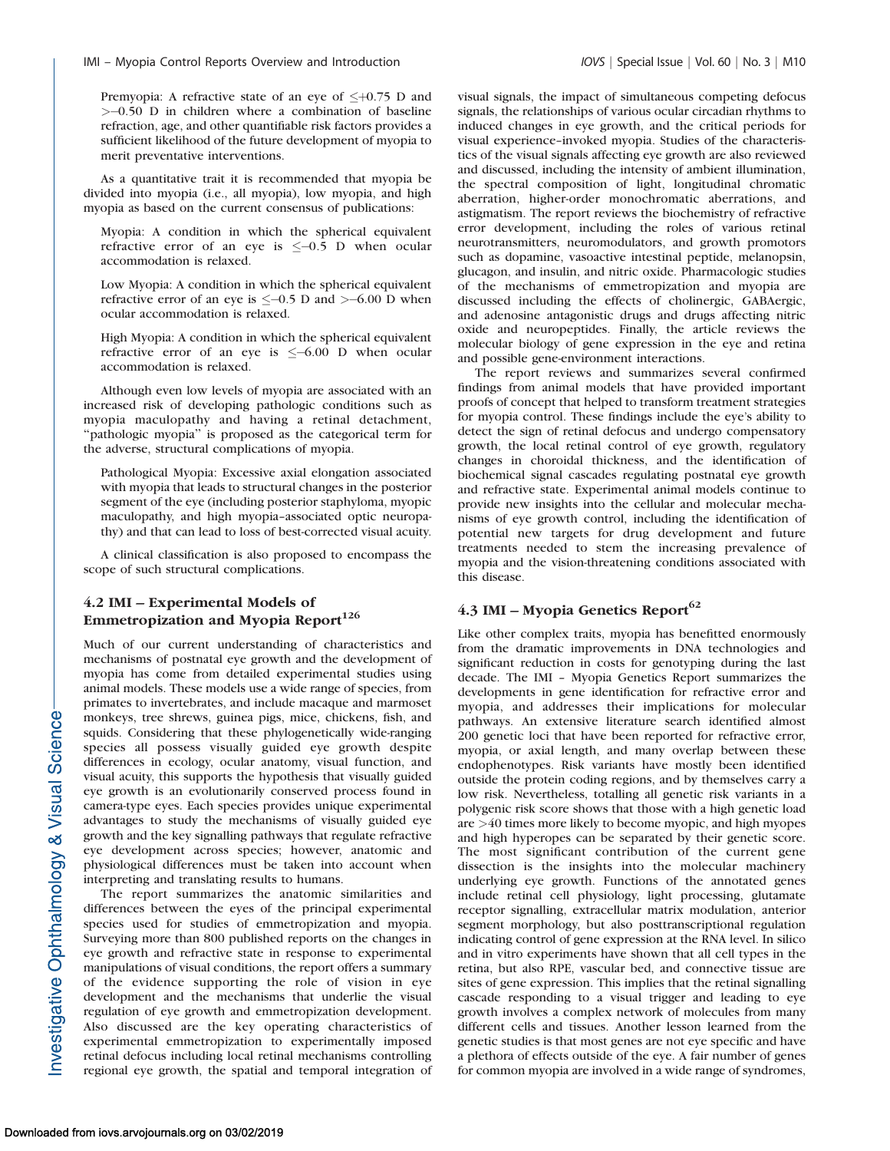Premyopia: A refractive state of an eye of  $\leq +0.75$  D and >-0.50 D in children where a combination of baseline refraction, age, and other quantifiable risk factors provides a sufficient likelihood of the future development of myopia to merit preventative interventions.

As a quantitative trait it is recommended that myopia be divided into myopia (i.e., all myopia), low myopia, and high myopia as based on the current consensus of publications:

Myopia: A condition in which the spherical equivalent refractive error of an eye is  $\leq -0.5$  D when ocular accommodation is relaxed.

Low Myopia: A condition in which the spherical equivalent refractive error of an eye is  $\leq$  -0.5 D and > -6.00 D when ocular accommodation is relaxed.

High Myopia: A condition in which the spherical equivalent refractive error of an eye is  $\leq -6.00$  D when ocular accommodation is relaxed.

Although even low levels of myopia are associated with an increased risk of developing pathologic conditions such as myopia maculopathy and having a retinal detachment, "pathologic myopia" is proposed as the categorical term for the adverse, structural complications of myopia.

Pathological Myopia: Excessive axial elongation associated with myopia that leads to structural changes in the posterior segment of the eye (including posterior staphyloma, myopic maculopathy, and high myopia–associated optic neuropathy) and that can lead to loss of best-corrected visual acuity.

A clinical classification is also proposed to encompass the scope of such structural complications.

# 4.2 IMI – Experimental Models of Emmetropization and Myopia Report $126$

Much of our current understanding of characteristics and mechanisms of postnatal eye growth and the development of myopia has come from detailed experimental studies using animal models. These models use a wide range of species, from primates to invertebrates, and include macaque and marmoset monkeys, tree shrews, guinea pigs, mice, chickens, fish, and squids. Considering that these phylogenetically wide-ranging species all possess visually guided eye growth despite differences in ecology, ocular anatomy, visual function, and visual acuity, this supports the hypothesis that visually guided eye growth is an evolutionarily conserved process found in camera-type eyes. Each species provides unique experimental advantages to study the mechanisms of visually guided eye growth and the key signalling pathways that regulate refractive eye development across species; however, anatomic and physiological differences must be taken into account when interpreting and translating results to humans.

The report summarizes the anatomic similarities and differences between the eyes of the principal experimental species used for studies of emmetropization and myopia. Surveying more than 800 published reports on the changes in eye growth and refractive state in response to experimental manipulations of visual conditions, the report offers a summary of the evidence supporting the role of vision in eye development and the mechanisms that underlie the visual regulation of eye growth and emmetropization development. Also discussed are the key operating characteristics of experimental emmetropization to experimentally imposed retinal defocus including local retinal mechanisms controlling regional eye growth, the spatial and temporal integration of visual signals, the impact of simultaneous competing defocus signals, the relationships of various ocular circadian rhythms to induced changes in eye growth, and the critical periods for visual experience–invoked myopia. Studies of the characteristics of the visual signals affecting eye growth are also reviewed and discussed, including the intensity of ambient illumination, the spectral composition of light, longitudinal chromatic aberration, higher-order monochromatic aberrations, and astigmatism. The report reviews the biochemistry of refractive error development, including the roles of various retinal neurotransmitters, neuromodulators, and growth promotors such as dopamine, vasoactive intestinal peptide, melanopsin, glucagon, and insulin, and nitric oxide. Pharmacologic studies of the mechanisms of emmetropization and myopia are discussed including the effects of cholinergic, GABAergic, and adenosine antagonistic drugs and drugs affecting nitric oxide and neuropeptides. Finally, the article reviews the molecular biology of gene expression in the eye and retina and possible gene-environment interactions.

The report reviews and summarizes several confirmed findings from animal models that have provided important proofs of concept that helped to transform treatment strategies for myopia control. These findings include the eye's ability to detect the sign of retinal defocus and undergo compensatory growth, the local retinal control of eye growth, regulatory changes in choroidal thickness, and the identification of biochemical signal cascades regulating postnatal eye growth and refractive state. Experimental animal models continue to provide new insights into the cellular and molecular mechanisms of eye growth control, including the identification of potential new targets for drug development and future treatments needed to stem the increasing prevalence of myopia and the vision-threatening conditions associated with this disease.

# 4.3 IMI – Myopia Genetics Report<sup>62</sup>

Like other complex traits, myopia has benefitted enormously from the dramatic improvements in DNA technologies and significant reduction in costs for genotyping during the last decade. The IMI – Myopia Genetics Report summarizes the developments in gene identification for refractive error and myopia, and addresses their implications for molecular pathways. An extensive literature search identified almost 200 genetic loci that have been reported for refractive error, myopia, or axial length, and many overlap between these endophenotypes. Risk variants have mostly been identified outside the protein coding regions, and by themselves carry a low risk. Nevertheless, totalling all genetic risk variants in a polygenic risk score shows that those with a high genetic load are >40 times more likely to become myopic, and high myopes and high hyperopes can be separated by their genetic score. The most significant contribution of the current gene dissection is the insights into the molecular machinery underlying eye growth. Functions of the annotated genes include retinal cell physiology, light processing, glutamate receptor signalling, extracellular matrix modulation, anterior segment morphology, but also posttranscriptional regulation indicating control of gene expression at the RNA level. In silico and in vitro experiments have shown that all cell types in the retina, but also RPE, vascular bed, and connective tissue are sites of gene expression. This implies that the retinal signalling cascade responding to a visual trigger and leading to eye growth involves a complex network of molecules from many different cells and tissues. Another lesson learned from the genetic studies is that most genes are not eye specific and have a plethora of effects outside of the eye. A fair number of genes for common myopia are involved in a wide range of syndromes,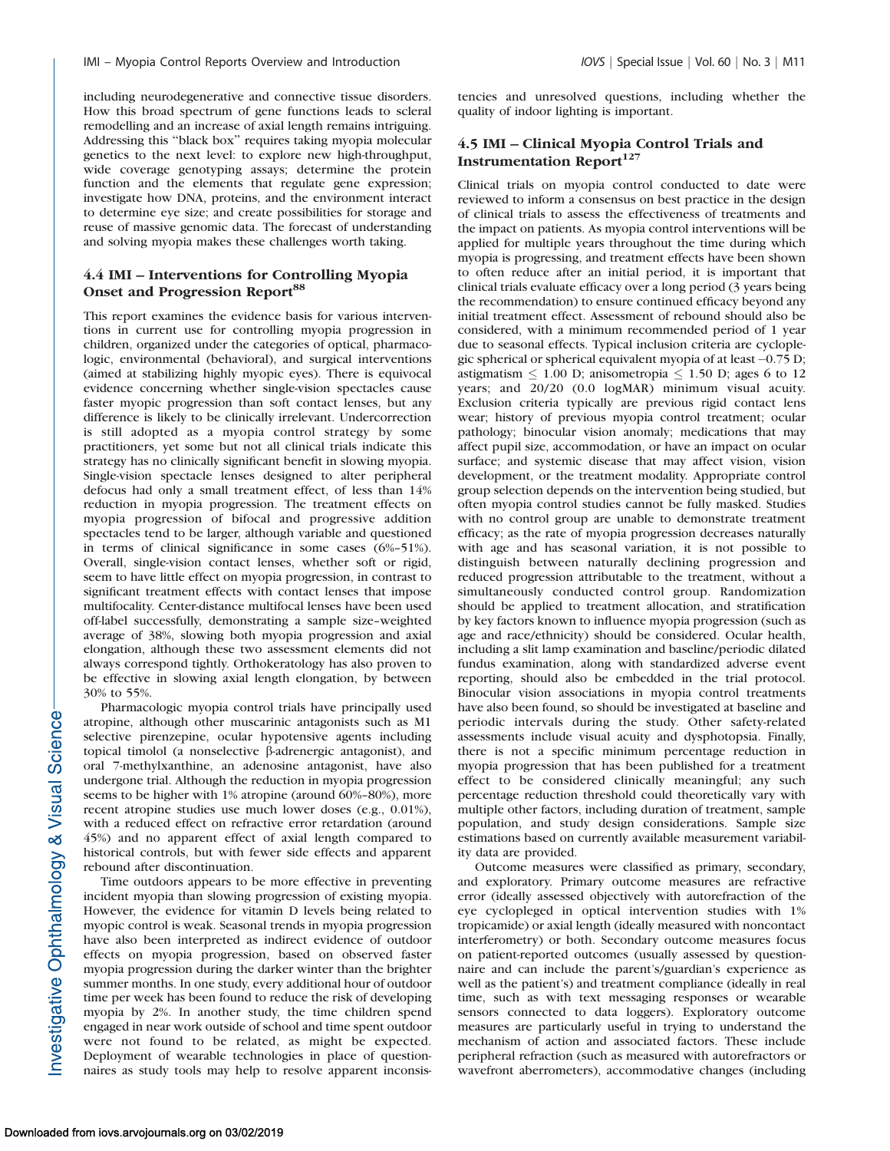including neurodegenerative and connective tissue disorders. How this broad spectrum of gene functions leads to scleral remodelling and an increase of axial length remains intriguing. Addressing this ''black box'' requires taking myopia molecular genetics to the next level: to explore new high-throughput, wide coverage genotyping assays; determine the protein function and the elements that regulate gene expression; investigate how DNA, proteins, and the environment interact to determine eye size; and create possibilities for storage and reuse of massive genomic data. The forecast of understanding and solving myopia makes these challenges worth taking.

## 4.4 IMI – Interventions for Controlling Myopia Onset and Progression Report<sup>88</sup>

This report examines the evidence basis for various interventions in current use for controlling myopia progression in children, organized under the categories of optical, pharmacologic, environmental (behavioral), and surgical interventions (aimed at stabilizing highly myopic eyes). There is equivocal evidence concerning whether single-vision spectacles cause faster myopic progression than soft contact lenses, but any difference is likely to be clinically irrelevant. Undercorrection is still adopted as a myopia control strategy by some practitioners, yet some but not all clinical trials indicate this strategy has no clinically significant benefit in slowing myopia. Single-vision spectacle lenses designed to alter peripheral defocus had only a small treatment effect, of less than 14% reduction in myopia progression. The treatment effects on myopia progression of bifocal and progressive addition spectacles tend to be larger, although variable and questioned in terms of clinical significance in some cases (6%–51%). Overall, single-vision contact lenses, whether soft or rigid, seem to have little effect on myopia progression, in contrast to significant treatment effects with contact lenses that impose multifocality. Center-distance multifocal lenses have been used off-label successfully, demonstrating a sample size–weighted average of 38%, slowing both myopia progression and axial elongation, although these two assessment elements did not always correspond tightly. Orthokeratology has also proven to be effective in slowing axial length elongation, by between 30% to 55%.

Pharmacologic myopia control trials have principally used atropine, although other muscarinic antagonists such as M1 selective pirenzepine, ocular hypotensive agents including topical timolol (a nonselective  $\beta$ -adrenergic antagonist), and oral 7-methylxanthine, an adenosine antagonist, have also undergone trial. Although the reduction in myopia progression seems to be higher with 1% atropine (around 60%–80%), more recent atropine studies use much lower doses (e.g., 0.01%), with a reduced effect on refractive error retardation (around 45%) and no apparent effect of axial length compared to historical controls, but with fewer side effects and apparent rebound after discontinuation.

Time outdoors appears to be more effective in preventing incident myopia than slowing progression of existing myopia. However, the evidence for vitamin D levels being related to myopic control is weak. Seasonal trends in myopia progression have also been interpreted as indirect evidence of outdoor effects on myopia progression, based on observed faster myopia progression during the darker winter than the brighter summer months. In one study, every additional hour of outdoor time per week has been found to reduce the risk of developing myopia by 2%. In another study, the time children spend engaged in near work outside of school and time spent outdoor were not found to be related, as might be expected. Deployment of wearable technologies in place of questionnaires as study tools may help to resolve apparent inconsistencies and unresolved questions, including whether the quality of indoor lighting is important.

## 4.5 IMI – Clinical Myopia Control Trials and Instrumentation Report $127$

Clinical trials on myopia control conducted to date were reviewed to inform a consensus on best practice in the design of clinical trials to assess the effectiveness of treatments and the impact on patients. As myopia control interventions will be applied for multiple years throughout the time during which myopia is progressing, and treatment effects have been shown to often reduce after an initial period, it is important that clinical trials evaluate efficacy over a long period (3 years being the recommendation) to ensure continued efficacy beyond any initial treatment effect. Assessment of rebound should also be considered, with a minimum recommended period of 1 year due to seasonal effects. Typical inclusion criteria are cycloplegic spherical or spherical equivalent myopia of at least-0.75 D; astigmatism  $\leq 1.00$  D; anisometropia  $\leq 1.50$  D; ages 6 to 12 years; and 20/20 (0.0 logMAR) minimum visual acuity. Exclusion criteria typically are previous rigid contact lens wear; history of previous myopia control treatment; ocular pathology; binocular vision anomaly; medications that may affect pupil size, accommodation, or have an impact on ocular surface; and systemic disease that may affect vision, vision development, or the treatment modality. Appropriate control group selection depends on the intervention being studied, but often myopia control studies cannot be fully masked. Studies with no control group are unable to demonstrate treatment efficacy; as the rate of myopia progression decreases naturally with age and has seasonal variation, it is not possible to distinguish between naturally declining progression and reduced progression attributable to the treatment, without a simultaneously conducted control group. Randomization should be applied to treatment allocation, and stratification by key factors known to influence myopia progression (such as age and race/ethnicity) should be considered. Ocular health, including a slit lamp examination and baseline/periodic dilated fundus examination, along with standardized adverse event reporting, should also be embedded in the trial protocol. Binocular vision associations in myopia control treatments have also been found, so should be investigated at baseline and periodic intervals during the study. Other safety-related assessments include visual acuity and dysphotopsia. Finally, there is not a specific minimum percentage reduction in myopia progression that has been published for a treatment effect to be considered clinically meaningful; any such percentage reduction threshold could theoretically vary with multiple other factors, including duration of treatment, sample population, and study design considerations. Sample size estimations based on currently available measurement variability data are provided.

Outcome measures were classified as primary, secondary, and exploratory. Primary outcome measures are refractive error (ideally assessed objectively with autorefraction of the eye cyclopleged in optical intervention studies with 1% tropicamide) or axial length (ideally measured with noncontact interferometry) or both. Secondary outcome measures focus on patient-reported outcomes (usually assessed by questionnaire and can include the parent's/guardian's experience as well as the patient's) and treatment compliance (ideally in real time, such as with text messaging responses or wearable sensors connected to data loggers). Exploratory outcome measures are particularly useful in trying to understand the mechanism of action and associated factors. These include peripheral refraction (such as measured with autorefractors or wavefront aberrometers), accommodative changes (including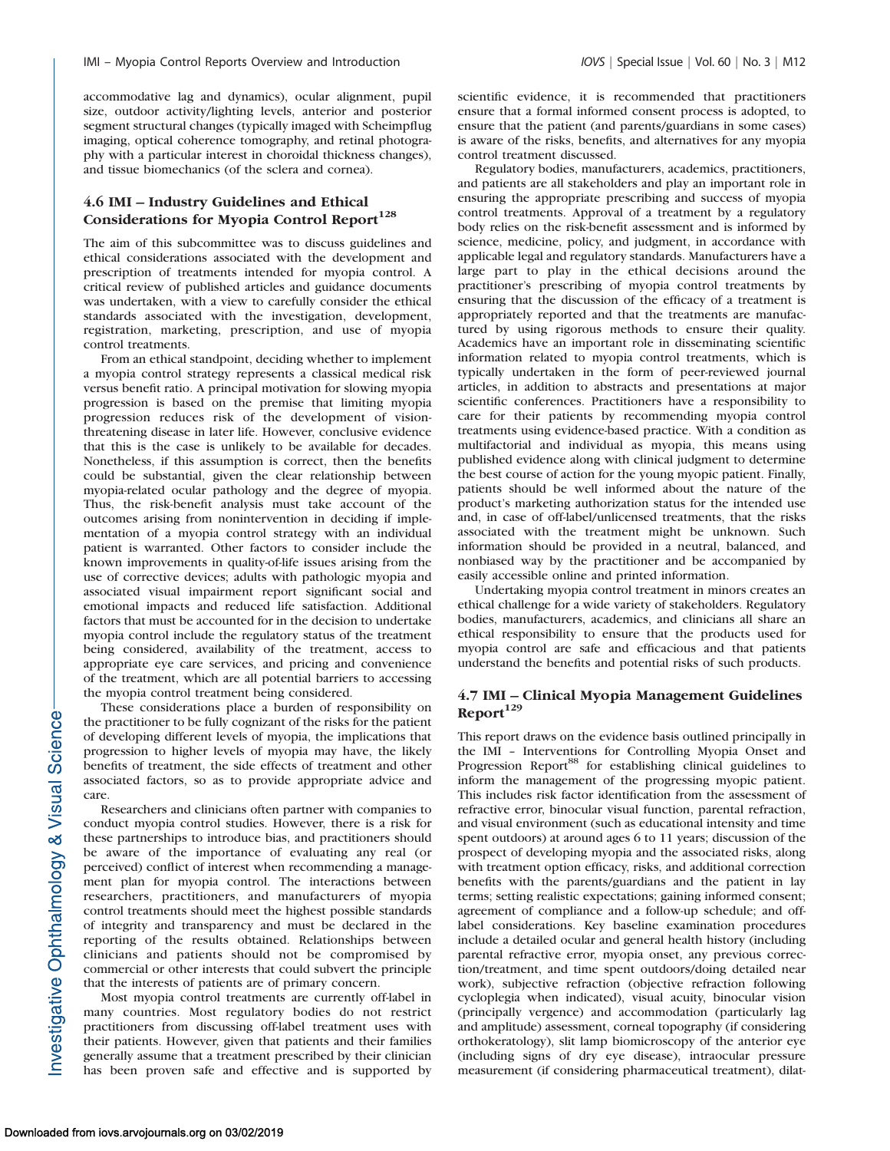accommodative lag and dynamics), ocular alignment, pupil size, outdoor activity/lighting levels, anterior and posterior segment structural changes (typically imaged with Scheimpflug imaging, optical coherence tomography, and retinal photography with a particular interest in choroidal thickness changes), and tissue biomechanics (of the sclera and cornea).

# 4.6 IMI – Industry Guidelines and Ethical Considerations for Myopia Control Report<sup>128</sup>

The aim of this subcommittee was to discuss guidelines and ethical considerations associated with the development and prescription of treatments intended for myopia control. A critical review of published articles and guidance documents was undertaken, with a view to carefully consider the ethical standards associated with the investigation, development, registration, marketing, prescription, and use of myopia control treatments.

From an ethical standpoint, deciding whether to implement a myopia control strategy represents a classical medical risk versus benefit ratio. A principal motivation for slowing myopia progression is based on the premise that limiting myopia progression reduces risk of the development of visionthreatening disease in later life. However, conclusive evidence that this is the case is unlikely to be available for decades. Nonetheless, if this assumption is correct, then the benefits could be substantial, given the clear relationship between myopia-related ocular pathology and the degree of myopia. Thus, the risk-benefit analysis must take account of the outcomes arising from nonintervention in deciding if implementation of a myopia control strategy with an individual patient is warranted. Other factors to consider include the known improvements in quality-of-life issues arising from the use of corrective devices; adults with pathologic myopia and associated visual impairment report significant social and emotional impacts and reduced life satisfaction. Additional factors that must be accounted for in the decision to undertake myopia control include the regulatory status of the treatment being considered, availability of the treatment, access to appropriate eye care services, and pricing and convenience of the treatment, which are all potential barriers to accessing the myopia control treatment being considered.

These considerations place a burden of responsibility on the practitioner to be fully cognizant of the risks for the patient of developing different levels of myopia, the implications that progression to higher levels of myopia may have, the likely benefits of treatment, the side effects of treatment and other associated factors, so as to provide appropriate advice and care.

Researchers and clinicians often partner with companies to conduct myopia control studies. However, there is a risk for these partnerships to introduce bias, and practitioners should be aware of the importance of evaluating any real (or perceived) conflict of interest when recommending a management plan for myopia control. The interactions between researchers, practitioners, and manufacturers of myopia control treatments should meet the highest possible standards of integrity and transparency and must be declared in the reporting of the results obtained. Relationships between clinicians and patients should not be compromised by commercial or other interests that could subvert the principle that the interests of patients are of primary concern.

Most myopia control treatments are currently off-label in many countries. Most regulatory bodies do not restrict practitioners from discussing off-label treatment uses with their patients. However, given that patients and their families generally assume that a treatment prescribed by their clinician has been proven safe and effective and is supported by scientific evidence, it is recommended that practitioners ensure that a formal informed consent process is adopted, to ensure that the patient (and parents/guardians in some cases) is aware of the risks, benefits, and alternatives for any myopia control treatment discussed.

Regulatory bodies, manufacturers, academics, practitioners, and patients are all stakeholders and play an important role in ensuring the appropriate prescribing and success of myopia control treatments. Approval of a treatment by a regulatory body relies on the risk-benefit assessment and is informed by science, medicine, policy, and judgment, in accordance with applicable legal and regulatory standards. Manufacturers have a large part to play in the ethical decisions around the practitioner's prescribing of myopia control treatments by ensuring that the discussion of the efficacy of a treatment is appropriately reported and that the treatments are manufactured by using rigorous methods to ensure their quality. Academics have an important role in disseminating scientific information related to myopia control treatments, which is typically undertaken in the form of peer-reviewed journal articles, in addition to abstracts and presentations at major scientific conferences. Practitioners have a responsibility to care for their patients by recommending myopia control treatments using evidence-based practice. With a condition as multifactorial and individual as myopia, this means using published evidence along with clinical judgment to determine the best course of action for the young myopic patient. Finally, patients should be well informed about the nature of the product's marketing authorization status for the intended use and, in case of off-label/unlicensed treatments, that the risks associated with the treatment might be unknown. Such information should be provided in a neutral, balanced, and nonbiased way by the practitioner and be accompanied by easily accessible online and printed information.

Undertaking myopia control treatment in minors creates an ethical challenge for a wide variety of stakeholders. Regulatory bodies, manufacturers, academics, and clinicians all share an ethical responsibility to ensure that the products used for myopia control are safe and efficacious and that patients understand the benefits and potential risks of such products.

# 4.7 IMI – Clinical Myopia Management Guidelines  $Report<sup>129</sup>$

This report draws on the evidence basis outlined principally in the IMI – Interventions for Controlling Myopia Onset and Progression Report<sup>88</sup> for establishing clinical guidelines to inform the management of the progressing myopic patient. This includes risk factor identification from the assessment of refractive error, binocular visual function, parental refraction, and visual environment (such as educational intensity and time spent outdoors) at around ages 6 to 11 years; discussion of the prospect of developing myopia and the associated risks, along with treatment option efficacy, risks, and additional correction benefits with the parents/guardians and the patient in lay terms; setting realistic expectations; gaining informed consent; agreement of compliance and a follow-up schedule; and offlabel considerations. Key baseline examination procedures include a detailed ocular and general health history (including parental refractive error, myopia onset, any previous correction/treatment, and time spent outdoors/doing detailed near work), subjective refraction (objective refraction following cycloplegia when indicated), visual acuity, binocular vision (principally vergence) and accommodation (particularly lag and amplitude) assessment, corneal topography (if considering orthokeratology), slit lamp biomicroscopy of the anterior eye (including signs of dry eye disease), intraocular pressure measurement (if considering pharmaceutical treatment), dilat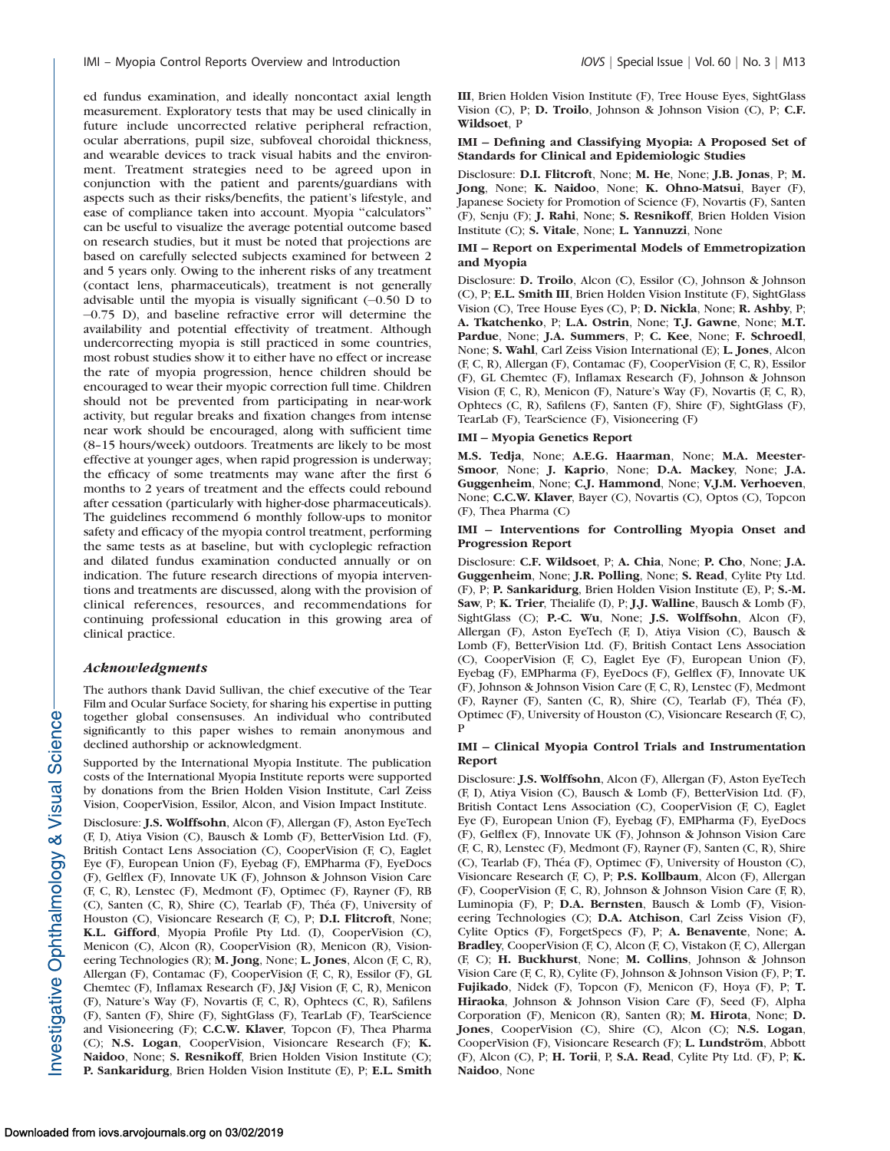ed fundus examination, and ideally noncontact axial length measurement. Exploratory tests that may be used clinically in future include uncorrected relative peripheral refraction, ocular aberrations, pupil size, subfoveal choroidal thickness, and wearable devices to track visual habits and the environment. Treatment strategies need to be agreed upon in conjunction with the patient and parents/guardians with aspects such as their risks/benefits, the patient's lifestyle, and ease of compliance taken into account. Myopia ''calculators'' can be useful to visualize the average potential outcome based on research studies, but it must be noted that projections are based on carefully selected subjects examined for between 2 and 5 years only. Owing to the inherent risks of any treatment (contact lens, pharmaceuticals), treatment is not generally advisable until the myopia is visually significant  $(-0.50 \text{ D})$  to -0.75 D), and baseline refractive error will determine the availability and potential effectivity of treatment. Although undercorrecting myopia is still practiced in some countries, most robust studies show it to either have no effect or increase the rate of myopia progression, hence children should be encouraged to wear their myopic correction full time. Children should not be prevented from participating in near-work activity, but regular breaks and fixation changes from intense near work should be encouraged, along with sufficient time (8–15 hours/week) outdoors. Treatments are likely to be most effective at younger ages, when rapid progression is underway; the efficacy of some treatments may wane after the first 6 months to 2 years of treatment and the effects could rebound after cessation (particularly with higher-dose pharmaceuticals). The guidelines recommend 6 monthly follow-ups to monitor safety and efficacy of the myopia control treatment, performing the same tests as at baseline, but with cycloplegic refraction and dilated fundus examination conducted annually or on indication. The future research directions of myopia interventions and treatments are discussed, along with the provision of clinical references, resources, and recommendations for continuing professional education in this growing area of clinical practice.

#### Acknowledgments

The authors thank David Sullivan, the chief executive of the Tear Film and Ocular Surface Society, for sharing his expertise in putting together global consensuses. An individual who contributed significantly to this paper wishes to remain anonymous and declined authorship or acknowledgment.

Supported by the International Myopia Institute. The publication costs of the International Myopia Institute reports were supported by donations from the Brien Holden Vision Institute, Carl Zeiss Vision, CooperVision, Essilor, Alcon, and Vision Impact Institute.

Disclosure: J.S. Wolffsohn, Alcon (F), Allergan (F), Aston EyeTech (F, I), Atiya Vision (C), Bausch & Lomb (F), BetterVision Ltd. (F), British Contact Lens Association (C), CooperVision (F, C), Eaglet Eye (F), European Union (F), Eyebag (F), EMPharma (F), EyeDocs (F), Gelflex (F), Innovate UK (F), Johnson & Johnson Vision Care (F, C, R), Lenstec (F), Medmont (F), Optimec (F), Rayner (F), RB (C), Santen (C, R), Shire (C), Tearlab (F), Théa (F), University of Houston (C), Visioncare Research (F, C), P; D.I. Flitcroft, None; K.L. Gifford, Myopia Profile Pty Ltd. (I), CooperVision (C), Menicon (C), Alcon (R), CooperVision (R), Menicon (R), Visioneering Technologies (R); M. Jong, None; L. Jones, Alcon (F, C, R), Allergan (F), Contamac (F), CooperVision (F, C, R), Essilor (F), GL Chemtec (F), Inflamax Research (F), J&J Vision (F, C, R), Menicon (F), Nature's Way (F), Novartis (F, C, R), Ophtecs (C, R), Safilens (F), Santen (F), Shire (F), SightGlass (F), TearLab (F), TearScience and Visioneering (F); C.C.W. Klaver, Topcon (F), Thea Pharma (C); N.S. Logan, CooperVision, Visioncare Research (F); K. Naidoo, None; S. Resnikoff, Brien Holden Vision Institute (C); P. Sankaridurg, Brien Holden Vision Institute (E), P; E.L. Smith

III, Brien Holden Vision Institute (F), Tree House Eyes, SightGlass Vision (C), P; D. Troilo, Johnson & Johnson Vision (C), P; C.F. Wildsoet, P

#### IMI – Defining and Classifying Myopia: A Proposed Set of Standards for Clinical and Epidemiologic Studies

Disclosure: D.I. Flitcroft, None; M. He, None; J.B. Jonas, P; M. Jong, None; K. Naidoo, None; K. Ohno-Matsui, Bayer (F), Japanese Society for Promotion of Science (F), Novartis (F), Santen (F), Senju (F); J. Rahi, None; S. Resnikoff, Brien Holden Vision Institute (C); S. Vitale, None; L. Yannuzzi, None

#### IMI – Report on Experimental Models of Emmetropization and Myopia

Disclosure: D. Troilo, Alcon (C), Essilor (C), Johnson & Johnson (C), P; E.L. Smith III, Brien Holden Vision Institute (F), SightGlass Vision (C), Tree House Eyes (C), P; D. Nickla, None; R. Ashby, P; A. Tkatchenko, P; L.A. Ostrin, None; T.J. Gawne, None; M.T. Pardue, None; J.A. Summers, P; C. Kee, None; F. Schroedl, None; S. Wahl, Carl Zeiss Vision International (E); L. Jones, Alcon (F, C, R), Allergan (F), Contamac (F), CooperVision (F, C, R), Essilor (F), GL Chemtec (F), Inflamax Research (F), Johnson & Johnson Vision (F, C, R), Menicon (F), Nature's Way (F), Novartis (F, C, R), Ophtecs (C, R), Safilens (F), Santen (F), Shire (F), SightGlass (F), TearLab (F), TearScience (F), Visioneering (F)

#### IMI – Myopia Genetics Report

M.S. Tedja, None; A.E.G. Haarman, None; M.A. Meester-Smoor, None; J. Kaprio, None; D.A. Mackey, None; J.A. Guggenheim, None; C.J. Hammond, None; V.J.M. Verhoeven, None; C.C.W. Klaver, Bayer (C), Novartis (C), Optos (C), Topcon (F), Thea Pharma (C)

#### IMI – Interventions for Controlling Myopia Onset and Progression Report

Disclosure: C.F. Wildsoet, P; A. Chia, None; P. Cho, None; J.A. Guggenheim, None; J.R. Polling, None; S. Read, Cylite Pty Ltd. (F), P; P. Sankaridurg, Brien Holden Vision Institute (E), P; S.-M. Saw, P; K. Trier, Theialife (I), P; J.J. Walline, Bausch & Lomb (F), SightGlass (C); P.-C. Wu, None; J.S. Wolffsohn, Alcon (F), Allergan (F), Aston EyeTech (F, I), Atiya Vision (C), Bausch & Lomb (F), BetterVision Ltd. (F), British Contact Lens Association (C), CooperVision (F, C), Eaglet Eye (F), European Union (F), Eyebag (F), EMPharma (F), EyeDocs (F), Gelflex (F), Innovate UK (F), Johnson & Johnson Vision Care (F, C, R), Lenstec (F), Medmont (F), Rayner (F), Santen (C, R), Shire (C), Tearlab (F), Thea (F), ´ Optimec (F), University of Houston (C), Visioncare Research (F, C), P

#### IMI – Clinical Myopia Control Trials and Instrumentation Report

Disclosure: J.S. Wolffsohn, Alcon (F), Allergan (F), Aston EyeTech (F, I), Atiya Vision (C), Bausch & Lomb (F), BetterVision Ltd. (F), British Contact Lens Association (C), CooperVision (F, C), Eaglet Eye (F), European Union (F), Eyebag (F), EMPharma (F), EyeDocs (F), Gelflex (F), Innovate UK (F), Johnson & Johnson Vision Care (F, C, R), Lenstec (F), Medmont (F), Rayner (F), Santen (C, R), Shire (C), Tearlab (F), Théa (F), Optimec (F), University of Houston (C), Visioncare Research (F, C), P; P.S. Kollbaum, Alcon (F), Allergan (F), CooperVision (F, C, R), Johnson & Johnson Vision Care (F, R), Luminopia (F), P; D.A. Bernsten, Bausch & Lomb (F), Visioneering Technologies (C); D.A. Atchison, Carl Zeiss Vision (F), Cylite Optics (F), ForgetSpecs (F), P; A. Benavente, None; A. Bradley, CooperVision (F, C), Alcon (F, C), Vistakon (F, C), Allergan (F, C); H. Buckhurst, None; M. Collins, Johnson & Johnson Vision Care (F, C, R), Cylite (F), Johnson & Johnson Vision (F), P; T. Fujikado, Nidek (F), Topcon (F), Menicon (F), Hoya (F), P; T. Hiraoka, Johnson & Johnson Vision Care (F), Seed (F), Alpha Corporation (F), Menicon (R), Santen (R); M. Hirota, None; D. Jones, CooperVision (C), Shire (C), Alcon (C); N.S. Logan, CooperVision (F), Visioncare Research (F); L. Lundström, Abbott (F), Alcon (C), P; H. Torii, P, S.A. Read, Cylite Pty Ltd. (F), P; K. Naidoo, None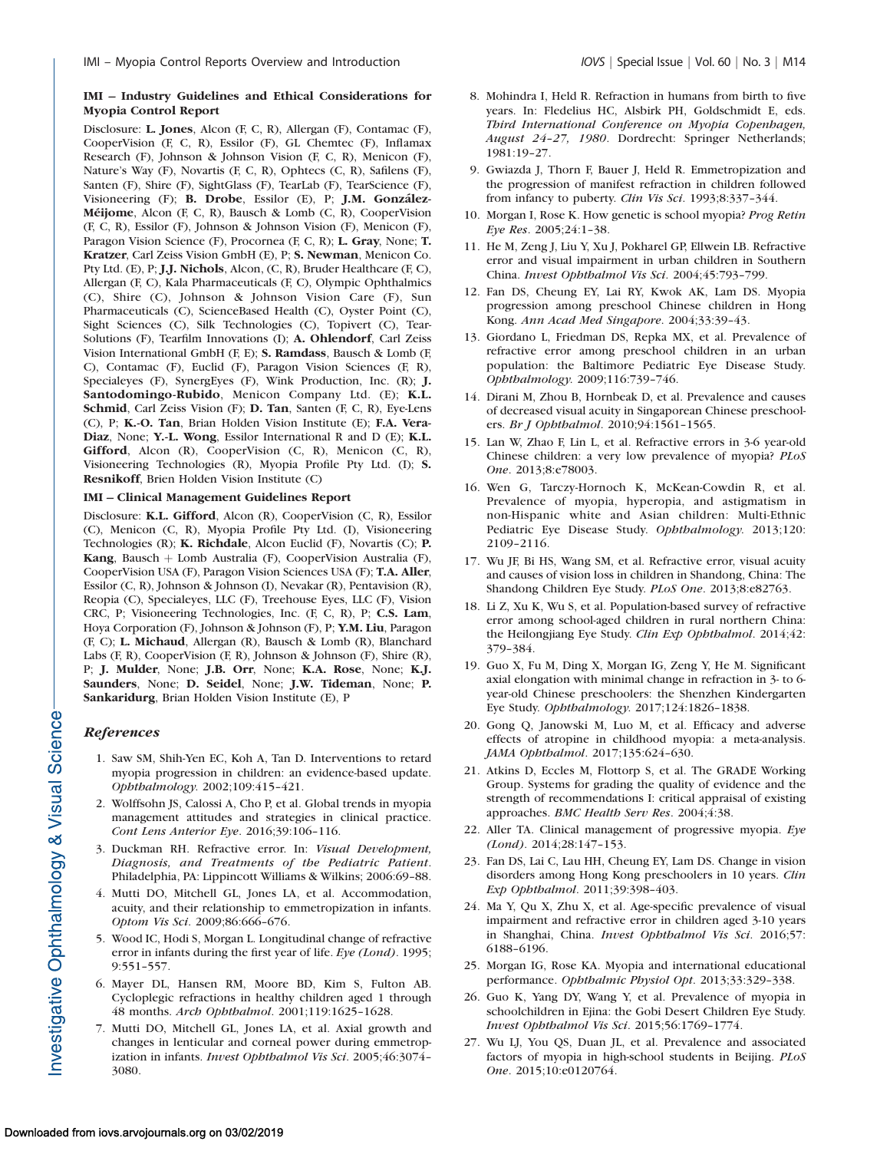## IMI – Industry Guidelines and Ethical Considerations for Myopia Control Report

Disclosure: L. Jones, Alcon (F, C, R), Allergan (F), Contamac (F), CooperVision (F, C, R), Essilor (F), GL Chemtec (F), Inflamax Research (F), Johnson & Johnson Vision (F, C, R), Menicon (F), Nature's Way (F), Novartis (F, C, R), Ophtecs (C, R), Safilens (F), Santen (F), Shire (F), SightGlass (F), TearLab (F), TearScience (F), Visioneering (F); B. Drobe, Essilor (E), P; J.M. González-Méijome, Alcon (F, C, R), Bausch & Lomb (C, R), CooperVision (F, C, R), Essilor (F), Johnson & Johnson Vision (F), Menicon (F), Paragon Vision Science (F), Procornea (F, C, R); L. Gray, None; T. Kratzer, Carl Zeiss Vision GmbH (E), P; S. Newman, Menicon Co. Pty Ltd. (E), P; J.J. Nichols, Alcon, (C, R), Bruder Healthcare (F, C), Allergan (F, C), Kala Pharmaceuticals (F, C), Olympic Ophthalmics (C), Shire (C), Johnson & Johnson Vision Care (F), Sun Pharmaceuticals (C), ScienceBased Health (C), Oyster Point (C), Sight Sciences (C), Silk Technologies (C), Topivert (C), Tear-Solutions (F), Tearfilm Innovations (I); A. Ohlendorf, Carl Zeiss Vision International GmbH (F, E); S. Ramdass, Bausch & Lomb (F, C), Contamac (F), Euclid (F), Paragon Vision Sciences (F, R), Specialeyes (F), SynergEyes (F), Wink Production, Inc. (R); J. Santodomingo-Rubido, Menicon Company Ltd. (E); K.L. Schmid, Carl Zeiss Vision (F); D. Tan, Santen (F, C, R), Eye-Lens (C), P; K.-O. Tan, Brian Holden Vision Institute (E); F.A. Vera-Diaz, None; Y.-L. Wong, Essilor International R and D (E); K.L. Gifford, Alcon (R), CooperVision (C, R), Menicon (C, R), Visioneering Technologies (R), Myopia Profile Pty Ltd. (I); S. Resnikoff, Brien Holden Vision Institute (C)

#### IMI – Clinical Management Guidelines Report

Disclosure: K.L. Gifford, Alcon (R), CooperVision (C, R), Essilor (C), Menicon (C, R), Myopia Profile Pty Ltd. (I), Visioneering Technologies (R); K. Richdale, Alcon Euclid (F), Novartis (C); P. Kang, Bausch + Lomb Australia (F), CooperVision Australia (F), CooperVision USA (F), Paragon Vision Sciences USA (F); T.A. Aller, Essilor (C, R), Johnson & Johnson (I), Nevakar (R), Pentavision (R), Reopia (C), Specialeyes, LLC (F), Treehouse Eyes, LLC (F), Vision CRC, P; Visioneering Technologies, Inc. (F, C, R), P; C.S. Lam, Hoya Corporation (F), Johnson & Johnson (F), P; Y.M. Liu, Paragon (F, C); L. Michaud, Allergan (R), Bausch & Lomb (R), Blanchard Labs (F, R), CooperVision (F, R), Johnson & Johnson (F), Shire (R), P; J. Mulder, None; J.B. Orr, None; K.A. Rose, None; K.J. Saunders, None; D. Seidel, None; J.W. Tideman, None; P. Sankaridurg, Brian Holden Vision Institute (E), P

## References

- 1. Saw SM, Shih-Yen EC, Koh A, Tan D. Interventions to retard myopia progression in children: an evidence-based update. Ophthalmology. 2002;109:415–421.
- 2. Wolffsohn JS, Calossi A, Cho P, et al. Global trends in myopia management attitudes and strategies in clinical practice. Cont Lens Anterior Eye. 2016;39:106–116.
- 3. Duckman RH. Refractive error. In: Visual Development, Diagnosis, and Treatments of the Pediatric Patient. Philadelphia, PA: Lippincott Williams & Wilkins; 2006:69–88.
- 4. Mutti DO, Mitchell GL, Jones LA, et al. Accommodation, acuity, and their relationship to emmetropization in infants. Optom Vis Sci. 2009;86:666–676.
- 5. Wood IC, Hodi S, Morgan L. Longitudinal change of refractive error in infants during the first year of life. Eye (Lond). 1995; 9:551–557.
- 6. Mayer DL, Hansen RM, Moore BD, Kim S, Fulton AB. Cycloplegic refractions in healthy children aged 1 through 48 months. Arch Ophthalmol. 2001;119:1625–1628.
- 7. Mutti DO, Mitchell GL, Jones LA, et al. Axial growth and changes in lenticular and corneal power during emmetropization in infants. Invest Ophthalmol Vis Sci. 2005;46:3074– 3080.
- 8. Mohindra I, Held R. Refraction in humans from birth to five years. In: Fledelius HC, Alsbirk PH, Goldschmidt E, eds. Third International Conference on Myopia Copenhagen, August 24–27, 1980. Dordrecht: Springer Netherlands; 1981:19–27.
- 9. Gwiazda J, Thorn F, Bauer J, Held R. Emmetropization and the progression of manifest refraction in children followed from infancy to puberty. Clin Vis Sci. 1993;8:337-344.
- 10. Morgan I, Rose K. How genetic is school myopia? Prog Retin Eye Res. 2005;24:1–38.
- 11. He M, Zeng J, Liu Y, Xu J, Pokharel GP, Ellwein LB. Refractive error and visual impairment in urban children in Southern China. Invest Ophthalmol Vis Sci. 2004;45:793–799.
- 12. Fan DS, Cheung EY, Lai RY, Kwok AK, Lam DS. Myopia progression among preschool Chinese children in Hong Kong. Ann Acad Med Singapore. 2004;33:39–43.
- 13. Giordano L, Friedman DS, Repka MX, et al. Prevalence of refractive error among preschool children in an urban population: the Baltimore Pediatric Eye Disease Study. Ophthalmology. 2009;116:739–746.
- 14. Dirani M, Zhou B, Hornbeak D, et al. Prevalence and causes of decreased visual acuity in Singaporean Chinese preschoolers. Br J Ophthalmol. 2010;94:1561–1565.
- 15. Lan W, Zhao F, Lin L, et al. Refractive errors in 3-6 year-old Chinese children: a very low prevalence of myopia? PLoS One. 2013;8:e78003.
- 16. Wen G, Tarczy-Hornoch K, McKean-Cowdin R, et al. Prevalence of myopia, hyperopia, and astigmatism in non-Hispanic white and Asian children: Multi-Ethnic Pediatric Eye Disease Study. Ophthalmology. 2013;120: 2109–2116.
- 17. Wu JF, Bi HS, Wang SM, et al. Refractive error, visual acuity and causes of vision loss in children in Shandong, China: The Shandong Children Eye Study. PLoS One. 2013;8:e82763.
- 18. Li Z, Xu K, Wu S, et al. Population-based survey of refractive error among school-aged children in rural northern China: the Heilongjiang Eye Study. Clin Exp Ophthalmol. 2014;42: 379–384.
- 19. Guo X, Fu M, Ding X, Morgan IG, Zeng Y, He M. Significant axial elongation with minimal change in refraction in 3- to 6 year-old Chinese preschoolers: the Shenzhen Kindergarten Eye Study. Ophthalmology. 2017;124:1826–1838.
- 20. Gong Q, Janowski M, Luo M, et al. Efficacy and adverse effects of atropine in childhood myopia: a meta-analysis. JAMA Ophthalmol. 2017;135:624–630.
- 21. Atkins D, Eccles M, Flottorp S, et al. The GRADE Working Group. Systems for grading the quality of evidence and the strength of recommendations I: critical appraisal of existing approaches. BMC Health Serv Res. 2004;4:38.
- 22. Aller TA. Clinical management of progressive myopia. Eye (Lond). 2014;28:147–153.
- 23. Fan DS, Lai C, Lau HH, Cheung EY, Lam DS. Change in vision disorders among Hong Kong preschoolers in 10 years. Clin Exp Ophthalmol. 2011;39:398–403.
- 24. Ma Y, Qu X, Zhu X, et al. Age-specific prevalence of visual impairment and refractive error in children aged 3-10 years in Shanghai, China. Invest Ophthalmol Vis Sci. 2016;57: 6188–6196.
- 25. Morgan IG, Rose KA. Myopia and international educational performance. Ophthalmic Physiol Opt. 2013;33:329–338.
- 26. Guo K, Yang DY, Wang Y, et al. Prevalence of myopia in schoolchildren in Ejina: the Gobi Desert Children Eye Study. Invest Ophthalmol Vis Sci. 2015;56:1769–1774.
- 27. Wu LJ, You QS, Duan JL, et al. Prevalence and associated factors of myopia in high-school students in Beijing. PLoS One. 2015;10:e0120764.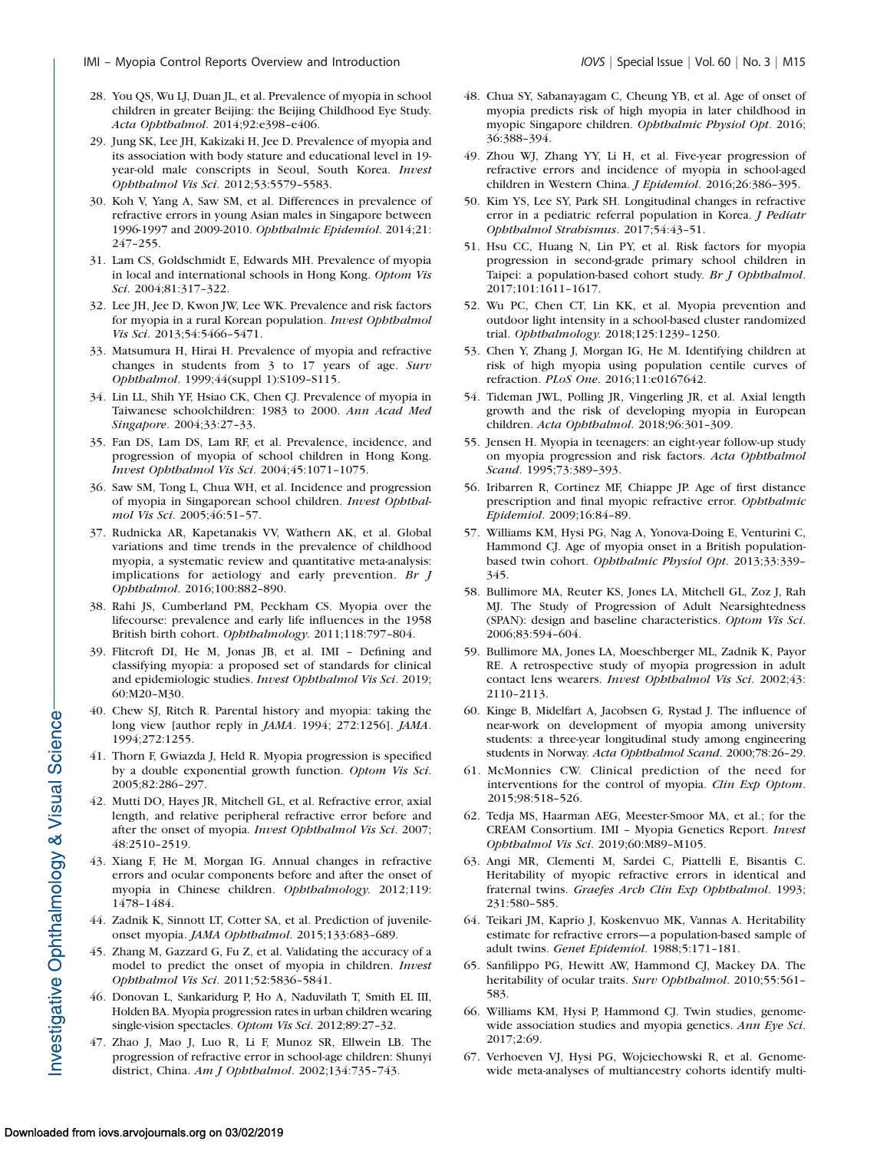- 28. You QS, Wu LJ, Duan JL, et al. Prevalence of myopia in school children in greater Beijing: the Beijing Childhood Eye Study. Acta Ophthalmol. 2014;92:e398–e406.
- 29. Jung SK, Lee JH, Kakizaki H, Jee D. Prevalence of myopia and its association with body stature and educational level in 19 year-old male conscripts in Seoul, South Korea. Invest Ophthalmol Vis Sci. 2012;53:5579–5583.
- 30. Koh V, Yang A, Saw SM, et al. Differences in prevalence of refractive errors in young Asian males in Singapore between 1996-1997 and 2009-2010. Ophthalmic Epidemiol. 2014;21: 247–255.
- 31. Lam CS, Goldschmidt E, Edwards MH. Prevalence of myopia in local and international schools in Hong Kong. Optom Vis Sci. 2004;81:317–322.
- 32. Lee JH, Jee D, Kwon JW, Lee WK. Prevalence and risk factors for myopia in a rural Korean population. Invest Ophthalmol Vis Sci. 2013;54:5466–5471.
- 33. Matsumura H, Hirai H. Prevalence of myopia and refractive changes in students from 3 to 17 years of age. Surv Ophthalmol. 1999;44(suppl 1):S109–S115.
- 34. Lin LL, Shih YF, Hsiao CK, Chen CJ. Prevalence of myopia in Taiwanese schoolchildren: 1983 to 2000. Ann Acad Med Singapore. 2004;33:27–33.
- 35. Fan DS, Lam DS, Lam RF, et al. Prevalence, incidence, and progression of myopia of school children in Hong Kong. Invest Ophthalmol Vis Sci. 2004;45:1071–1075.
- 36. Saw SM, Tong L, Chua WH, et al. Incidence and progression of myopia in Singaporean school children. Invest Ophthalmol Vis Sci. 2005;46:51–57.
- 37. Rudnicka AR, Kapetanakis VV, Wathern AK, et al. Global variations and time trends in the prevalence of childhood myopia, a systematic review and quantitative meta-analysis: implications for aetiology and early prevention. Br J Ophthalmol. 2016;100:882–890.
- 38. Rahi JS, Cumberland PM, Peckham CS. Myopia over the lifecourse: prevalence and early life influences in the 1958 British birth cohort. Ophthalmology. 2011;118:797–804.
- 39. Flitcroft DI, He M, Jonas JB, et al. IMI Defining and classifying myopia: a proposed set of standards for clinical and epidemiologic studies. Invest Ophthalmol Vis Sci. 2019; 60:M20–M30.
- 40. Chew SJ, Ritch R. Parental history and myopia: taking the long view [author reply in JAMA. 1994; 272:1256]. JAMA. 1994;272:1255.
- 41. Thorn F, Gwiazda J, Held R. Myopia progression is specified by a double exponential growth function. Optom Vis Sci. 2005;82:286–297.
- 42. Mutti DO, Hayes JR, Mitchell GL, et al. Refractive error, axial length, and relative peripheral refractive error before and after the onset of myopia. Invest Ophthalmol Vis Sci. 2007; 48:2510–2519.
- 43. Xiang F, He M, Morgan IG. Annual changes in refractive errors and ocular components before and after the onset of myopia in Chinese children. Ophthalmology. 2012;119: 1478–1484.
- 44. Zadnik K, Sinnott LT, Cotter SA, et al. Prediction of juvenileonset myopia. JAMA Ophthalmol. 2015;133:683–689.
- 45. Zhang M, Gazzard G, Fu Z, et al. Validating the accuracy of a model to predict the onset of myopia in children. Invest Ophthalmol Vis Sci. 2011;52:5836–5841.
- 46. Donovan L, Sankaridurg P, Ho A, Naduvilath T, Smith EL III, Holden BA. Myopia progression rates in urban children wearing single-vision spectacles. Optom Vis Sci. 2012;89:27-32.
- 47. Zhao J, Mao J, Luo R, Li F, Munoz SR, Ellwein LB. The progression of refractive error in school-age children: Shunyi district, China. Am J Ophthalmol. 2002;134:735–743.
- 48. Chua SY, Sabanayagam C, Cheung YB, et al. Age of onset of myopia predicts risk of high myopia in later childhood in myopic Singapore children. Ophthalmic Physiol Opt. 2016; 36:388–394.
- 49. Zhou WJ, Zhang YY, Li H, et al. Five-year progression of refractive errors and incidence of myopia in school-aged children in Western China. J Epidemiol. 2016;26:386–395.
- 50. Kim YS, Lee SY, Park SH. Longitudinal changes in refractive error in a pediatric referral population in Korea. J Pediatr Ophthalmol Strabismus. 2017;54:43–51.
- 51. Hsu CC, Huang N, Lin PY, et al. Risk factors for myopia progression in second-grade primary school children in Taipei: a population-based cohort study. Br J Ophthalmol. 2017;101:1611–1617.
- 52. Wu PC, Chen CT, Lin KK, et al. Myopia prevention and outdoor light intensity in a school-based cluster randomized trial. Ophthalmology. 2018;125:1239–1250.
- 53. Chen Y, Zhang J, Morgan IG, He M. Identifying children at risk of high myopia using population centile curves of refraction. PLoS One. 2016;11:e0167642.
- 54. Tideman JWL, Polling JR, Vingerling JR, et al. Axial length growth and the risk of developing myopia in European children. Acta Ophthalmol. 2018;96:301–309.
- 55. Jensen H. Myopia in teenagers: an eight-year follow-up study on myopia progression and risk factors. Acta Ophthalmol Scand. 1995;73:389–393.
- 56. Iribarren R, Cortinez MF, Chiappe JP. Age of first distance prescription and final myopic refractive error. Ophthalmic Epidemiol. 2009;16:84–89.
- 57. Williams KM, Hysi PG, Nag A, Yonova-Doing E, Venturini C, Hammond CJ. Age of myopia onset in a British populationbased twin cohort. Ophthalmic Physiol Opt. 2013;33:339– 345.
- 58. Bullimore MA, Reuter KS, Jones LA, Mitchell GL, Zoz J, Rah MJ. The Study of Progression of Adult Nearsightedness (SPAN): design and baseline characteristics. Optom Vis Sci. 2006;83:594–604.
- 59. Bullimore MA, Jones LA, Moeschberger ML, Zadnik K, Payor RE. A retrospective study of myopia progression in adult contact lens wearers. Invest Ophthalmol Vis Sci. 2002;43: 2110–2113.
- 60. Kinge B, Midelfart A, Jacobsen G, Rystad J. The influence of near-work on development of myopia among university students: a three-year longitudinal study among engineering students in Norway. Acta Ophthalmol Scand. 2000;78:26–29.
- 61. McMonnies CW. Clinical prediction of the need for interventions for the control of myopia. Clin Exp Optom. 2015;98:518–526.
- 62. Tedja MS, Haarman AEG, Meester-Smoor MA, et al.; for the CREAM Consortium. IMI – Myopia Genetics Report. Invest Ophthalmol Vis Sci. 2019;60:M89–M105.
- 63. Angi MR, Clementi M, Sardei C, Piattelli E, Bisantis C. Heritability of myopic refractive errors in identical and fraternal twins. Graefes Arch Clin Exp Ophthalmol. 1993; 231:580–585.
- 64. Teikari JM, Kaprio J, Koskenvuo MK, Vannas A. Heritability estimate for refractive errors—a population-based sample of adult twins. Genet Epidemiol. 1988;5:171–181.
- 65. Sanfilippo PG, Hewitt AW, Hammond CJ, Mackey DA. The heritability of ocular traits. Surv Ophthalmol. 2010;55:561-583.
- 66. Williams KM, Hysi P, Hammond CJ. Twin studies, genomewide association studies and myopia genetics. Ann Eye Sci. 2017;2:69.
- 67. Verhoeven VJ, Hysi PG, Wojciechowski R, et al. Genomewide meta-analyses of multiancestry cohorts identify multi-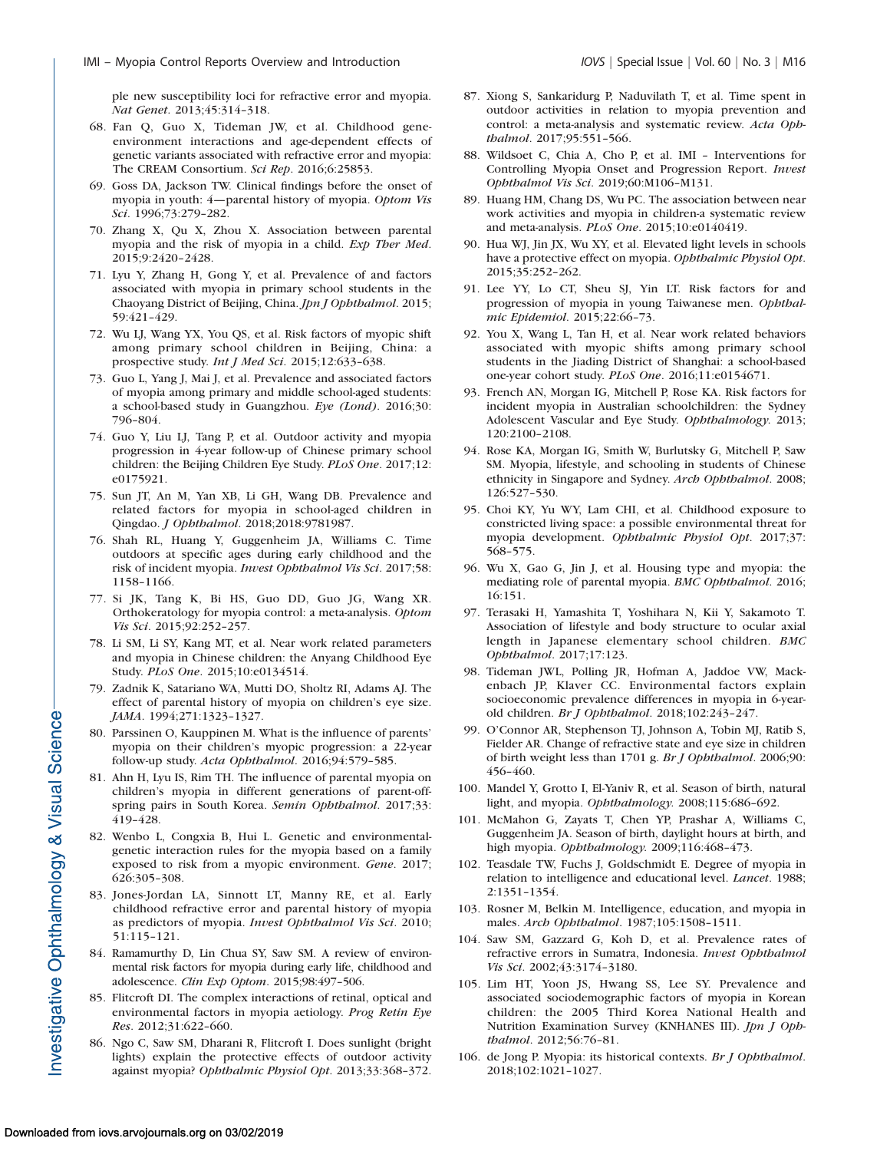ple new susceptibility loci for refractive error and myopia. Nat Genet. 2013;45:314–318.

- 68. Fan Q, Guo X, Tideman JW, et al. Childhood geneenvironment interactions and age-dependent effects of genetic variants associated with refractive error and myopia: The CREAM Consortium. Sci Rep. 2016;6:25853.
- 69. Goss DA, Jackson TW. Clinical findings before the onset of myopia in youth: 4—parental history of myopia. Optom Vis Sci. 1996;73:279–282.
- 70. Zhang X, Qu X, Zhou X. Association between parental myopia and the risk of myopia in a child. Exp Ther Med. 2015;9:2420–2428.
- 71. Lyu Y, Zhang H, Gong Y, et al. Prevalence of and factors associated with myopia in primary school students in the Chaoyang District of Beijing, China. Jpn J Ophthalmol. 2015; 59:421–429.
- 72. Wu LJ, Wang YX, You QS, et al. Risk factors of myopic shift among primary school children in Beijing, China: a prospective study. Int J Med Sci. 2015;12:633-638.
- 73. Guo L, Yang J, Mai J, et al. Prevalence and associated factors of myopia among primary and middle school-aged students: a school-based study in Guangzhou. Eye (Lond). 2016;30: 796–804.
- 74. Guo Y, Liu LJ, Tang P, et al. Outdoor activity and myopia progression in 4-year follow-up of Chinese primary school children: the Beijing Children Eye Study. PLoS One. 2017;12: e0175921.
- 75. Sun JT, An M, Yan XB, Li GH, Wang DB. Prevalence and related factors for myopia in school-aged children in Qingdao. J Ophthalmol. 2018;2018:9781987.
- 76. Shah RL, Huang Y, Guggenheim JA, Williams C. Time outdoors at specific ages during early childhood and the risk of incident myopia. Invest Ophthalmol Vis Sci. 2017;58: 1158–1166.
- 77. Si JK, Tang K, Bi HS, Guo DD, Guo JG, Wang XR. Orthokeratology for myopia control: a meta-analysis. Optom Vis Sci. 2015;92:252–257.
- 78. Li SM, Li SY, Kang MT, et al. Near work related parameters and myopia in Chinese children: the Anyang Childhood Eye Study. PLoS One. 2015;10:e0134514.
- 79. Zadnik K, Satariano WA, Mutti DO, Sholtz RI, Adams AJ. The effect of parental history of myopia on children's eye size. JAMA. 1994;271:1323–1327.
- 80. Parssinen O, Kauppinen M. What is the influence of parents' myopia on their children's myopic progression: a 22-year follow-up study. Acta Ophthalmol. 2016;94:579–585.
- 81. Ahn H, Lyu IS, Rim TH. The influence of parental myopia on children's myopia in different generations of parent-offspring pairs in South Korea. Semin Ophthalmol. 2017;33: 419–428.
- 82. Wenbo L, Congxia B, Hui L. Genetic and environmentalgenetic interaction rules for the myopia based on a family exposed to risk from a myopic environment. Gene. 2017; 626:305–308.
- 83. Jones-Jordan LA, Sinnott LT, Manny RE, et al. Early childhood refractive error and parental history of myopia as predictors of myopia. Invest Ophthalmol Vis Sci. 2010; 51:115–121.
- 84. Ramamurthy D, Lin Chua SY, Saw SM. A review of environmental risk factors for myopia during early life, childhood and adolescence. Clin Exp Optom. 2015;98:497–506.
- 85. Flitcroft DI. The complex interactions of retinal, optical and environmental factors in myopia aetiology. Prog Retin Eye Res. 2012;31:622–660.
- 86. Ngo C, Saw SM, Dharani R, Flitcroft I. Does sunlight (bright lights) explain the protective effects of outdoor activity against myopia? Ophthalmic Physiol Opt. 2013;33:368–372.
- 87. Xiong S, Sankaridurg P, Naduvilath T, et al. Time spent in outdoor activities in relation to myopia prevention and control: a meta-analysis and systematic review. Acta Ophthalmol. 2017;95:551–566.
- 88. Wildsoet C, Chia A, Cho P, et al. IMI Interventions for Controlling Myopia Onset and Progression Report. Invest Ophthalmol Vis Sci. 2019;60:M106–M131.
- 89. Huang HM, Chang DS, Wu PC. The association between near work activities and myopia in children-a systematic review and meta-analysis. PLoS One. 2015;10:e0140419.
- 90. Hua WJ, Jin JX, Wu XY, et al. Elevated light levels in schools have a protective effect on myopia. Ophthalmic Physiol Opt. 2015;35:252–262.
- 91. Lee YY, Lo CT, Sheu SJ, Yin LT. Risk factors for and progression of myopia in young Taiwanese men. Ophthalmic Epidemiol. 2015;22:66–73.
- 92. You X, Wang L, Tan H, et al. Near work related behaviors associated with myopic shifts among primary school students in the Jiading District of Shanghai: a school-based one-year cohort study. PLoS One. 2016;11:e0154671.
- 93. French AN, Morgan IG, Mitchell P, Rose KA. Risk factors for incident myopia in Australian schoolchildren: the Sydney Adolescent Vascular and Eye Study. Ophthalmology. 2013; 120:2100–2108.
- 94. Rose KA, Morgan IG, Smith W, Burlutsky G, Mitchell P, Saw SM. Myopia, lifestyle, and schooling in students of Chinese ethnicity in Singapore and Sydney. Arch Ophthalmol. 2008; 126:527–530.
- 95. Choi KY, Yu WY, Lam CHI, et al. Childhood exposure to constricted living space: a possible environmental threat for myopia development. Ophthalmic Physiol Opt. 2017;37: 568–575.
- 96. Wu X, Gao G, Jin J, et al. Housing type and myopia: the mediating role of parental myopia. BMC Ophthalmol. 2016; 16:151.
- 97. Terasaki H, Yamashita T, Yoshihara N, Kii Y, Sakamoto T. Association of lifestyle and body structure to ocular axial length in Japanese elementary school children. BMC Ophthalmol. 2017;17:123.
- 98. Tideman JWL, Polling JR, Hofman A, Jaddoe VW, Mackenbach JP, Klaver CC. Environmental factors explain socioeconomic prevalence differences in myopia in 6-yearold children. Br J Ophthalmol. 2018;102:243–247.
- 99. O'Connor AR, Stephenson TJ, Johnson A, Tobin MJ, Ratib S, Fielder AR. Change of refractive state and eye size in children of birth weight less than 1701 g. Br J Ophthalmol. 2006;90: 456–460.
- 100. Mandel Y, Grotto I, El-Yaniv R, et al. Season of birth, natural light, and myopia. Ophthalmology. 2008;115:686–692.
- 101. McMahon G, Zayats T, Chen YP, Prashar A, Williams C, Guggenheim JA. Season of birth, daylight hours at birth, and high myopia. Ophthalmology. 2009;116:468–473.
- 102. Teasdale TW, Fuchs J, Goldschmidt E. Degree of myopia in relation to intelligence and educational level. Lancet. 1988; 2:1351–1354.
- 103. Rosner M, Belkin M. Intelligence, education, and myopia in males. Arch Ophthalmol. 1987;105:1508–1511.
- 104. Saw SM, Gazzard G, Koh D, et al. Prevalence rates of refractive errors in Sumatra, Indonesia. Invest Ophthalmol Vis Sci. 2002;43:3174–3180.
- 105. Lim HT, Yoon JS, Hwang SS, Lee SY. Prevalence and associated sociodemographic factors of myopia in Korean children: the 2005 Third Korea National Health and Nutrition Examination Survey (KNHANES III). Jpn J Ophthalmol. 2012;56:76–81.
- 106. de Jong P. Myopia: its historical contexts. Br J Ophthalmol. 2018;102:1021–1027.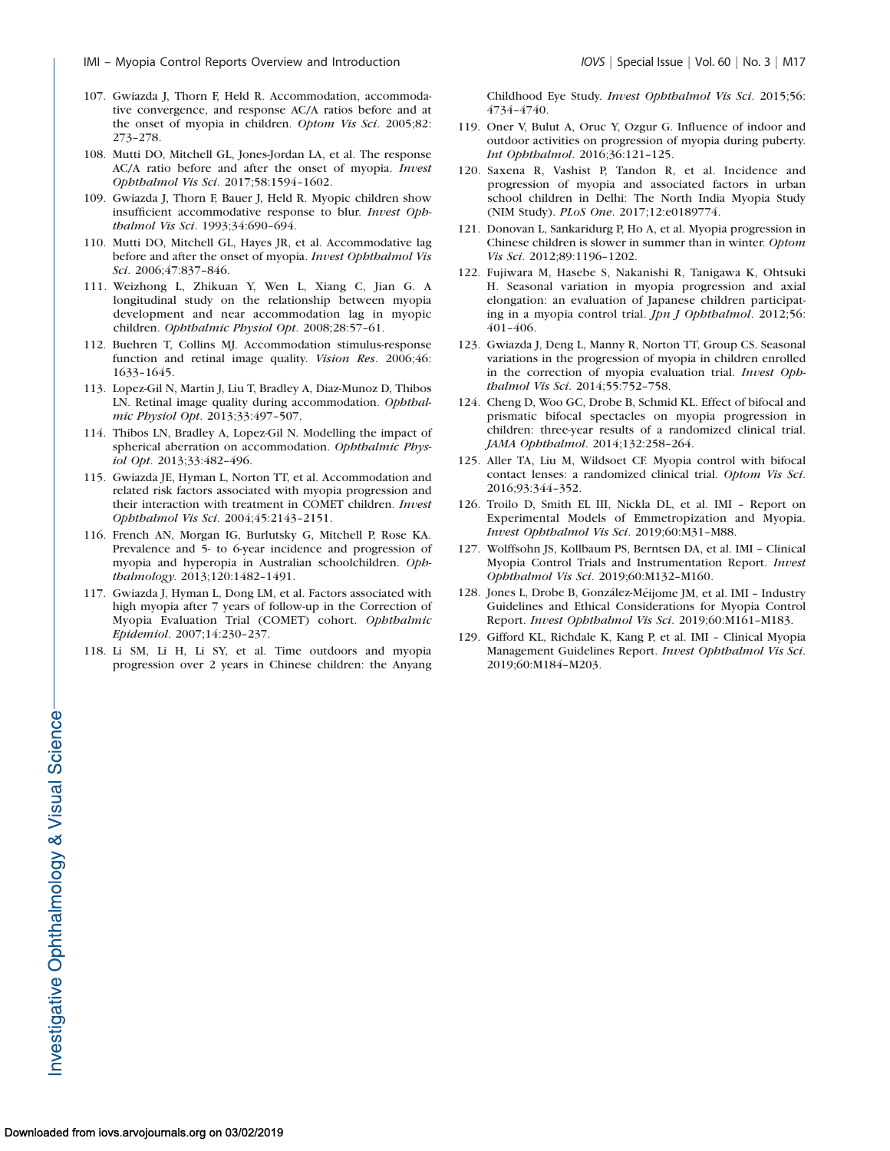- 107. Gwiazda J, Thorn F, Held R. Accommodation, accommodative convergence, and response AC/A ratios before and at the onset of myopia in children. Optom Vis Sci. 2005;82: 273–278.
- 108. Mutti DO, Mitchell GL, Jones-Jordan LA, et al. The response AC/A ratio before and after the onset of myopia. Invest Ophthalmol Vis Sci. 2017;58:1594–1602.
- 109. Gwiazda J, Thorn F, Bauer J, Held R. Myopic children show insufficient accommodative response to blur. Invest Ophthalmol Vis Sci. 1993;34:690–694.
- 110. Mutti DO, Mitchell GL, Hayes JR, et al. Accommodative lag before and after the onset of myopia. Invest Ophthalmol Vis Sci. 2006;47:837–846.
- 111. Weizhong L, Zhikuan Y, Wen L, Xiang C, Jian G. A longitudinal study on the relationship between myopia development and near accommodation lag in myopic children. Ophthalmic Physiol Opt. 2008;28:57–61.
- 112. Buehren T, Collins MJ. Accommodation stimulus-response function and retinal image quality. Vision Res. 2006;46: 1633–1645.
- 113. Lopez-Gil N, Martin J, Liu T, Bradley A, Diaz-Munoz D, Thibos LN. Retinal image quality during accommodation. Ophthalmic Physiol Opt. 2013;33:497–507.
- 114. Thibos LN, Bradley A, Lopez-Gil N. Modelling the impact of spherical aberration on accommodation. Ophthalmic Physiol Opt. 2013;33:482–496.
- 115. Gwiazda JE, Hyman L, Norton TT, et al. Accommodation and related risk factors associated with myopia progression and their interaction with treatment in COMET children. Invest Ophthalmol Vis Sci. 2004;45:2143–2151.
- 116. French AN, Morgan IG, Burlutsky G, Mitchell P, Rose KA. Prevalence and 5- to 6-year incidence and progression of myopia and hyperopia in Australian schoolchildren. Ophthalmology. 2013;120:1482–1491.
- 117. Gwiazda J, Hyman L, Dong LM, et al. Factors associated with high myopia after 7 years of follow-up in the Correction of Myopia Evaluation Trial (COMET) cohort. Ophthalmic Epidemiol. 2007;14:230–237.
- 118. Li SM, Li H, Li SY, et al. Time outdoors and myopia progression over 2 years in Chinese children: the Anyang

Childhood Eye Study. Invest Ophthalmol Vis Sci. 2015;56: 4734–4740.

- 119. Oner V, Bulut A, Oruc Y, Ozgur G. Influence of indoor and outdoor activities on progression of myopia during puberty. Int Ophthalmol. 2016;36:121–125.
- 120. Saxena R, Vashist P, Tandon R, et al. Incidence and progression of myopia and associated factors in urban school children in Delhi: The North India Myopia Study (NIM Study). PLoS One. 2017;12:e0189774.
- 121. Donovan L, Sankaridurg P, Ho A, et al. Myopia progression in Chinese children is slower in summer than in winter. Optom Vis Sci. 2012;89:1196–1202.
- 122. Fujiwara M, Hasebe S, Nakanishi R, Tanigawa K, Ohtsuki H. Seasonal variation in myopia progression and axial elongation: an evaluation of Japanese children participating in a myopia control trial. Jpn J Ophthalmol. 2012;56: 401–406.
- 123. Gwiazda J, Deng L, Manny R, Norton TT, Group CS. Seasonal variations in the progression of myopia in children enrolled in the correction of myopia evaluation trial. Invest Ophthalmol Vis Sci. 2014;55:752–758.
- 124. Cheng D, Woo GC, Drobe B, Schmid KL. Effect of bifocal and prismatic bifocal spectacles on myopia progression in children: three-year results of a randomized clinical trial. JAMA Ophthalmol. 2014;132:258–264.
- 125. Aller TA, Liu M, Wildsoet CF. Myopia control with bifocal contact lenses: a randomized clinical trial. Optom Vis Sci. 2016;93:344–352.
- 126. Troilo D, Smith EL III, Nickla DL, et al. IMI Report on Experimental Models of Emmetropization and Myopia. Invest Ophthalmol Vis Sci. 2019;60:M31–M88.
- 127. Wolffsohn JS, Kollbaum PS, Berntsen DA, et al. IMI Clinical Myopia Control Trials and Instrumentation Report. Invest Ophthalmol Vis Sci. 2019;60:M132–M160.
- 128. Jones L, Drobe B, González-Méijome JM, et al. IMI Industry Guidelines and Ethical Considerations for Myopia Control Report. Invest Ophthalmol Vis Sci. 2019;60:M161–M183.
- 129. Gifford KL, Richdale K, Kang P, et al. IMI Clinical Myopia Management Guidelines Report. Invest Ophthalmol Vis Sci. 2019;60:M184–M203.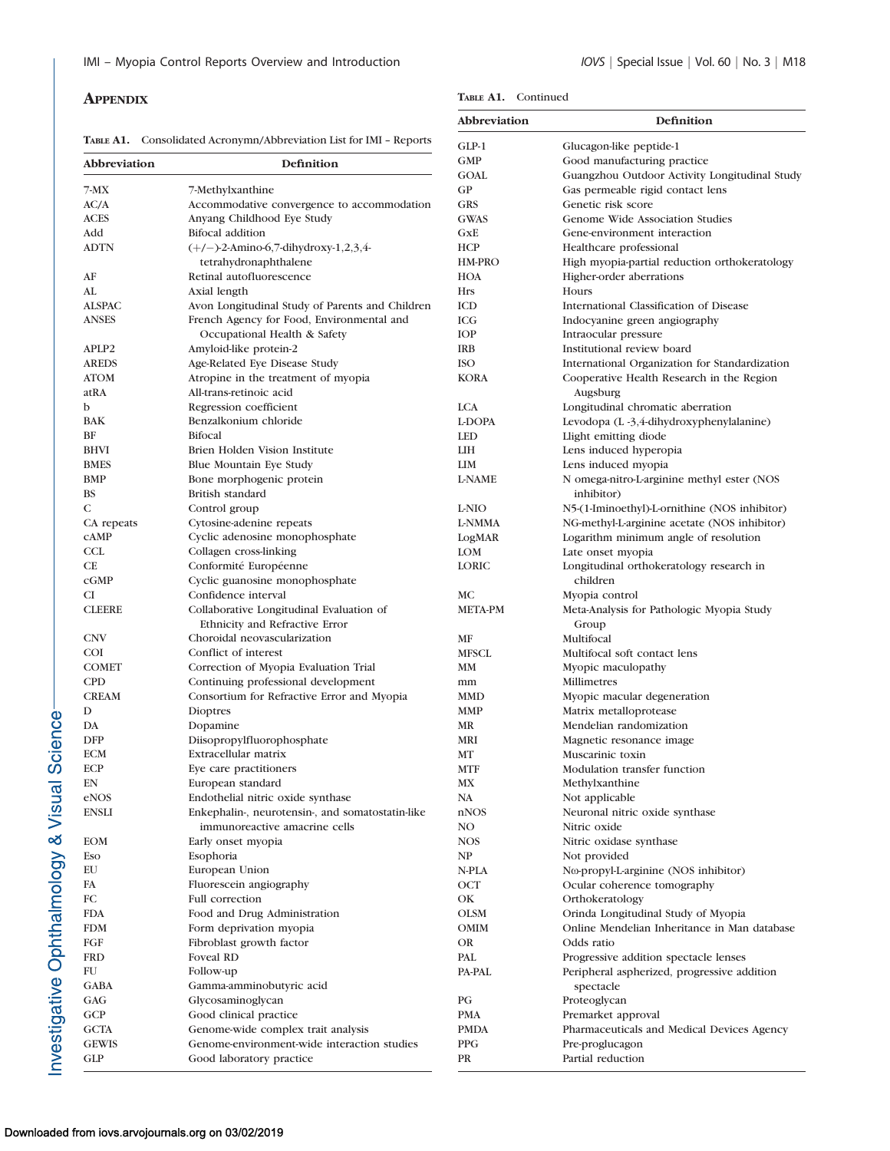# **APPENDIX**

| TABLE A1. Consolidated Acronymn/Abbreviation List for IMI - Reports |  |
|---------------------------------------------------------------------|--|
|                                                                     |  |

| Abbreviation  | Definition                                                                 | GMP            |
|---------------|----------------------------------------------------------------------------|----------------|
|               |                                                                            | <b>GOAL</b>    |
| 7-MX          | 7-Methylxanthine                                                           | GP             |
| AC/A          | Accommodative convergence to accommodation                                 | <b>GRS</b>     |
| <b>ACES</b>   | Anyang Childhood Eye Study                                                 | <b>GWAS</b>    |
| Add           | <b>Bifocal</b> addition                                                    | GxE            |
| ADTN          | $(+/-)$ -2-Amino-6,7-dihydroxy-1,2,3,4-                                    | <b>HCP</b>     |
|               | tetrahydronaphthalene                                                      | HM-PRO         |
| AF            | Retinal autofluorescence                                                   | <b>HOA</b>     |
| AL            | Axial length                                                               | <b>Hrs</b>     |
| <b>ALSPAC</b> | Avon Longitudinal Study of Parents and Children                            | ICD            |
| <b>ANSES</b>  | French Agency for Food, Environmental and                                  | <b>ICG</b>     |
|               | Occupational Health & Safety                                               | <b>IOP</b>     |
| APLP2         | Amyloid-like protein-2                                                     | <b>IRB</b>     |
| <b>AREDS</b>  | Age-Related Eye Disease Study                                              | <b>ISO</b>     |
| <b>ATOM</b>   | Atropine in the treatment of myopia                                        | <b>KORA</b>    |
| atRA          | All-trans-retinoic acid                                                    |                |
| b             | Regression coefficient                                                     | <b>LCA</b>     |
| <b>BAK</b>    | Benzalkonium chloride                                                      | L-DOPA         |
| BF            | <b>Bifocal</b>                                                             | <b>LED</b>     |
| <b>BHVI</b>   | Brien Holden Vision Institute                                              | LIH            |
| <b>BMES</b>   | Blue Mountain Eye Study                                                    | <b>LIM</b>     |
| BMP           | Bone morphogenic protein                                                   | <b>L-NAME</b>  |
| <b>BS</b>     | British standard                                                           |                |
| C             | Control group                                                              | L-NIO          |
| CA repeats    | Cytosine-adenine repeats                                                   | <b>L-NMMA</b>  |
| <b>CAMP</b>   | Cyclic adenosine monophosphate                                             | LogMAR         |
| <b>CCL</b>    | Collagen cross-linking                                                     | <b>LOM</b>     |
| <b>CE</b>     | Conformité Européenne                                                      | <b>LORIC</b>   |
| cGMP          | Cyclic guanosine monophosphate                                             |                |
| CI            | Confidence interval                                                        | МC             |
| <b>CLEERE</b> | Collaborative Longitudinal Evaluation of<br>Ethnicity and Refractive Error | <b>META-PM</b> |
| <b>CNV</b>    | Choroidal neovascularization                                               | МF             |
| <b>COI</b>    | Conflict of interest                                                       | <b>MFSCL</b>   |
| <b>COMET</b>  | Correction of Myopia Evaluation Trial                                      | MM             |
| <b>CPD</b>    | Continuing professional development                                        | mm             |
| <b>CREAM</b>  | Consortium for Refractive Error and Myopia                                 | MMD            |
| D             | Dioptres                                                                   | <b>MMP</b>     |
| DA            | Dopamine                                                                   | <b>MR</b>      |
| DFP           | Diisopropylfluorophosphate                                                 | <b>MRI</b>     |
| <b>ECM</b>    | Extracellular matrix                                                       | MT             |
| <b>ECP</b>    | Eye care practitioners                                                     | <b>MTF</b>     |
| EN            | European standard                                                          | MX             |
| eNOS          | Endothelial nitric oxide synthase                                          | NA             |
| <b>ENSLI</b>  | Enkephalin-, neurotensin-, and somatostatin-like                           | nNOS           |
|               | immunoreactive amacrine cells                                              | NO.            |
| <b>EOM</b>    | Early onset myopia                                                         | <b>NOS</b>     |
| Eso           | Esophoria                                                                  | NP             |
| EU            | European Union                                                             | N-PLA          |
| FA            | Fluorescein angiography                                                    | OCT            |
| FC            | Full correction                                                            | OK             |
| <b>FDA</b>    | Food and Drug Administration                                               | <b>OLSM</b>    |
| <b>FDM</b>    | Form deprivation myopia                                                    | <b>OMIM</b>    |
| FGF           | Fibroblast growth factor                                                   | <b>OR</b>      |
| <b>FRD</b>    | <b>Foveal RD</b>                                                           | PAL.           |
| FU            | Follow-up                                                                  | PA-PAL         |
| <b>GABA</b>   | Gamma-amminobutyric acid                                                   |                |
| GAG           | Glycosaminoglycan                                                          | PG             |
| GCP           | Good clinical practice                                                     | <b>PMA</b>     |
| <b>GCTA</b>   | Genome-wide complex trait analysis                                         | <b>PMDA</b>    |
| <b>GEWIS</b>  | Genome-environment-wide interaction studies                                | <b>PPG</b>     |
| GLP           | Good laboratory practice                                                   | PR             |
|               |                                                                            |                |

TABLE A1. Continued

| Abbreviation   | Definition                                                                |
|----------------|---------------------------------------------------------------------------|
| GLP-1          | Glucagon-like peptide-1                                                   |
| <b>GMP</b>     | Good manufacturing practice                                               |
| GOAL           | Guangzhou Outdoor Activity Longitudinal Study                             |
| GP             | Gas permeable rigid contact lens                                          |
| GRS            | Genetic risk score                                                        |
| <b>GWAS</b>    | Genome Wide Association Studies                                           |
| GxE            | Gene-environment interaction                                              |
| <b>HCP</b>     | Healthcare professional                                                   |
| <b>HM-PRO</b>  | High myopia-partial reduction orthokeratology                             |
| HOA            | Higher-order aberrations<br>Hours                                         |
| Hrs<br>ICD     | International Classification of Disease                                   |
| ICG            | Indocyanine green angiography                                             |
| <b>IOP</b>     | Intraocular pressure                                                      |
| <b>IRB</b>     | Institutional review board                                                |
| ISO            | International Organization for Standardization                            |
| KORA           | Cooperative Health Research in the Region<br>Augsburg                     |
| <b>LCA</b>     | Longitudinal chromatic aberration                                         |
| <b>L-DOPA</b>  | Levodopa (L -3,4-dihydroxyphenylalanine)                                  |
| LED            | Llight emitting diode                                                     |
| LIH            | Lens induced hyperopia                                                    |
| LIM            | Lens induced myopia                                                       |
| <b>L-NAME</b>  | N omega-nitro-L-arginine methyl ester (NOS<br>inhibitor)                  |
| <b>L-NIO</b>   | N5-(1-Iminoethyl)-L-ornithine (NOS inhibitor)                             |
| <b>L-NMMA</b>  | NG-methyl-L-arginine acetate (NOS inhibitor)                              |
| LogMAR<br>LOM  | Logarithm minimum angle of resolution                                     |
| LORIC          | Late onset myopia<br>Longitudinal orthokeratology research in<br>children |
| MС             | Myopia control                                                            |
| <b>META-PM</b> | Meta-Analysis for Pathologic Myopia Study<br>Group                        |
| MF             | Multifocal                                                                |
| <b>MFSCL</b>   | Multifocal soft contact lens                                              |
| MМ             | Myopic maculopathy                                                        |
| mm             | Millimetres                                                               |
| MMD            | Myopic macular degeneration                                               |
| MMP            | Matrix metalloprotease                                                    |
| MR             | Mendelian randomization                                                   |
| MRI            | Magnetic resonance image                                                  |
| MТ             | Muscarinic toxin                                                          |
| MTF            | Modulation transfer function                                              |
| МX<br>NA       | Methylxanthine<br>Not applicable                                          |
| nNOS           | Neuronal nitric oxide synthase                                            |
| NO             | Nitric oxide                                                              |
| NOS            | Nitric oxidase synthase                                                   |
| NP             | Not provided                                                              |
| N-PLA          | Nω-propyl-L-arginine (NOS inhibitor)                                      |
| OCT            | Ocular coherence tomography                                               |
| OK             | Orthokeratology                                                           |
| <b>OLSM</b>    | Orinda Longitudinal Study of Myopia                                       |
| OMIM           | Online Mendelian Inheritance in Man database                              |
| OR             | Odds ratio                                                                |
| PAL            | Progressive addition spectacle lenses                                     |
| <b>PA-PAL</b>  | Peripheral aspherized, progressive addition<br>spectacle                  |
| PG             | Proteoglycan                                                              |
| PMA            | Premarket approval                                                        |
| <b>PMDA</b>    | Pharmaceuticals and Medical Devices Agency                                |
| PPG<br>PR      | Pre-proglucagon<br>Partial reduction                                      |
|                |                                                                           |

Investigative Ophthalmology & Visual Science-